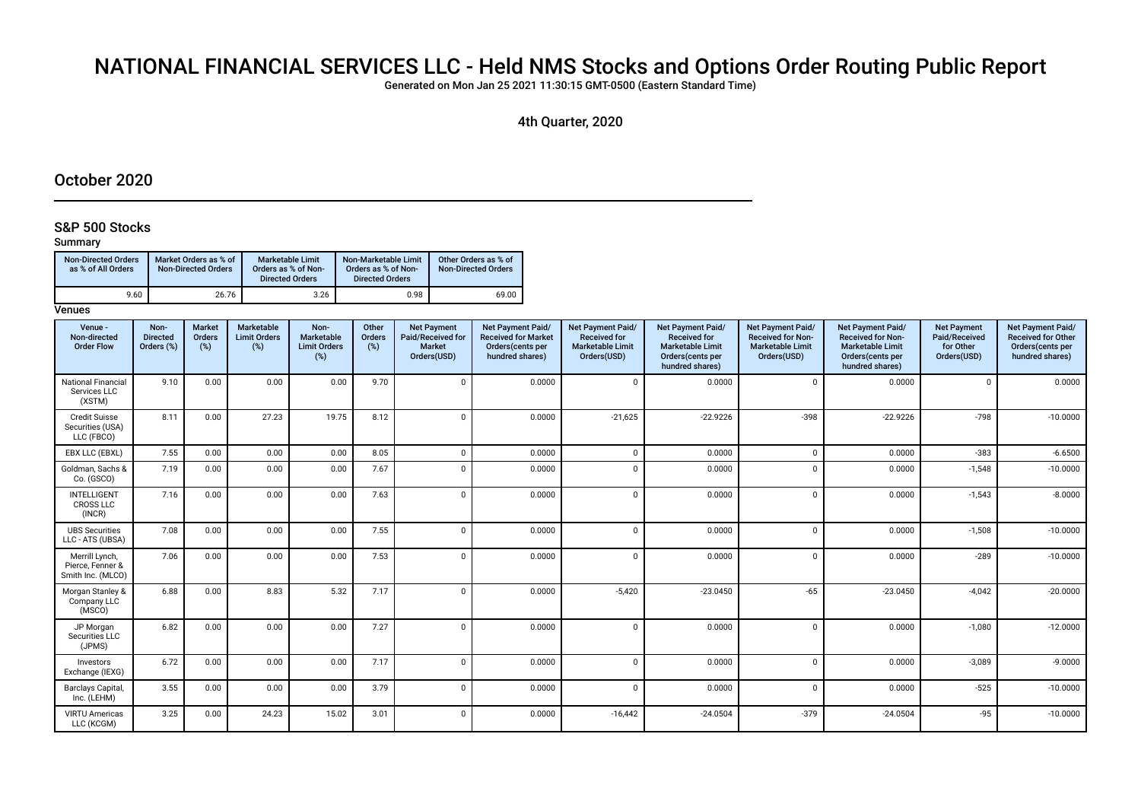# NATIONAL FINANCIAL SERVICES LLC - Held NMS Stocks and Options Order Routing Public Report

Generated on Mon Jan 25 2021 11:30:15 GMT-0500 (Eastern Standard Time)

4th Quarter, 2020

# October 2020

# S&P 500 Stocks

# Summary

| <b>Non-Directed Orders</b><br>as % of All Orders | Market Orders as % of<br><b>Non-Directed Orders</b> | Marketable Limit<br>Orders as % of Non-<br><b>Directed Orders</b> | Non-Marketable Limit<br>Orders as % of Non-<br><b>Directed Orders</b> | Other Orders as % of<br><b>Non-Directed Orders</b> |
|--------------------------------------------------|-----------------------------------------------------|-------------------------------------------------------------------|-----------------------------------------------------------------------|----------------------------------------------------|
| 9.60                                             | 26.76                                               | 3.26                                                              | 0.98                                                                  | 69.00                                              |

| Venue -<br>Non-directed<br><b>Order Flow</b>            | Non-<br><b>Directed</b><br>Orders (%) | <b>Market</b><br>Orders<br>(%) | Marketable<br><b>Limit Orders</b><br>(%) | Non-<br>Marketable<br><b>Limit Orders</b><br>$(\%)$ | Other<br>Orders<br>(%) | <b>Net Payment</b><br>Paid/Received for<br><b>Market</b><br>Orders(USD) | <b>Net Payment Paid/</b><br><b>Received for Market</b><br>Orders(cents per<br>hundred shares) | <b>Net Payment Paid/</b><br><b>Received for</b><br><b>Marketable Limit</b><br>Orders(USD) | Net Payment Paid/<br><b>Received for</b><br><b>Marketable Limit</b><br>Orders(cents per<br>hundred shares) | Net Payment Paid/<br><b>Received for Non-</b><br><b>Marketable Limit</b><br>Orders(USD) | Net Payment Paid/<br><b>Received for Non-</b><br><b>Marketable Limit</b><br>Orders(cents per<br>hundred shares) | <b>Net Payment</b><br>Paid/Received<br>for Other<br>Orders(USD) | Net Payment Paid/<br><b>Received for Other</b><br>Orders(cents per<br>hundred shares) |
|---------------------------------------------------------|---------------------------------------|--------------------------------|------------------------------------------|-----------------------------------------------------|------------------------|-------------------------------------------------------------------------|-----------------------------------------------------------------------------------------------|-------------------------------------------------------------------------------------------|------------------------------------------------------------------------------------------------------------|-----------------------------------------------------------------------------------------|-----------------------------------------------------------------------------------------------------------------|-----------------------------------------------------------------|---------------------------------------------------------------------------------------|
| <b>National Financial</b><br>Services LLC<br>(XSTM)     | 9.10                                  | 0.00                           | 0.00                                     | 0.00                                                | 9.70                   | $\Omega$                                                                | 0.0000                                                                                        | $\Omega$                                                                                  | 0.0000                                                                                                     | $\Omega$                                                                                | 0.0000                                                                                                          |                                                                 | 0.0000                                                                                |
| <b>Credit Suisse</b><br>Securities (USA)<br>LLC (FBCO)  | 8.11                                  | 0.00                           | 27.23                                    | 19.75                                               | 8.12                   | $\Omega$                                                                | 0.0000                                                                                        | $-21,625$                                                                                 | $-22.9226$                                                                                                 | $-398$                                                                                  | $-22.9226$                                                                                                      | $-798$                                                          | $-10.0000$                                                                            |
| EBX LLC (EBXL)                                          | 7.55                                  | 0.00                           | 0.00                                     | 0.00                                                | 8.05                   | $\Omega$                                                                | 0.0000                                                                                        | $\Omega$                                                                                  | 0.0000                                                                                                     | $\Omega$                                                                                | 0.0000                                                                                                          | $-383$                                                          | $-6.6500$                                                                             |
| Goldman, Sachs &<br>Co. (GSCO)                          | 7.19                                  | 0.00                           | 0.00                                     | 0.00                                                | 7.67                   | $\Omega$                                                                | 0.0000                                                                                        | $\Omega$                                                                                  | 0.0000                                                                                                     | $\cap$                                                                                  | 0.0000                                                                                                          | $-1,548$                                                        | $-10.0000$                                                                            |
| <b>INTELLIGENT</b><br><b>CROSS LLC</b><br>(INCR)        | 7.16                                  | 0.00                           | 0.00                                     | 0.00                                                | 7.63                   | $\Omega$                                                                | 0.0000                                                                                        | $\Omega$                                                                                  | 0.0000                                                                                                     | $\Omega$                                                                                | 0.0000                                                                                                          | $-1,543$                                                        | $-8.0000$                                                                             |
| <b>UBS Securities</b><br>LLC - ATS (UBSA)               | 7.08                                  | 0.00                           | 0.00                                     | 0.00                                                | 7.55                   | $\Omega$                                                                | 0.0000                                                                                        | $\Omega$                                                                                  | 0.0000                                                                                                     | $\Omega$                                                                                | 0.0000                                                                                                          | $-1,508$                                                        | $-10.0000$                                                                            |
| Merrill Lynch,<br>Pierce, Fenner &<br>Smith Inc. (MLCO) | 7.06                                  | 0.00                           | 0.00                                     | 0.00                                                | 7.53                   | $\Omega$                                                                | 0.0000                                                                                        | $\Omega$                                                                                  | 0.0000                                                                                                     | $\Omega$                                                                                | 0.0000                                                                                                          | $-289$                                                          | $-10.0000$                                                                            |
| Morgan Stanley &<br>Company LLC<br>(MSCO)               | 6.88                                  | 0.00                           | 8.83                                     | 5.32                                                | 7.17                   |                                                                         | 0.0000                                                                                        | $-5,420$                                                                                  | $-23.0450$                                                                                                 | $-65$                                                                                   | $-23.0450$                                                                                                      | $-4,042$                                                        | $-20.0000$                                                                            |
| JP Morgan<br>Securities LLC<br>(JPMS)                   | 6.82                                  | 0.00                           | 0.00                                     | 0.00                                                | 7.27                   |                                                                         | 0.0000                                                                                        | $\Omega$                                                                                  | 0.0000                                                                                                     | $\Omega$                                                                                | 0.0000                                                                                                          | $-1,080$                                                        | $-12.0000$                                                                            |
| Investors<br>Exchange (IEXG)                            | 6.72                                  | 0.00                           | 0.00                                     | 0.00                                                | 7.17                   | $\Omega$                                                                | 0.0000                                                                                        | $\Omega$                                                                                  | 0.0000                                                                                                     | $\Omega$                                                                                | 0.0000                                                                                                          | $-3,089$                                                        | $-9.0000$                                                                             |
| Barclays Capital,<br>Inc. (LEHM)                        | 3.55                                  | 0.00                           | 0.00                                     | 0.00                                                | 3.79                   | $\Omega$                                                                | 0.0000                                                                                        | $\Omega$                                                                                  | 0.0000                                                                                                     | $\Omega$                                                                                | 0.0000                                                                                                          | $-525$                                                          | $-10.0000$                                                                            |
| <b>VIRTU Americas</b><br>LLC (KCGM)                     | 3.25                                  | 0.00                           | 24.23                                    | 15.02                                               | 3.01                   | $\Omega$                                                                | 0.0000                                                                                        | $-16,442$                                                                                 | $-24.0504$                                                                                                 | $-379$                                                                                  | $-24.0504$                                                                                                      | $-95$                                                           | $-10.0000$                                                                            |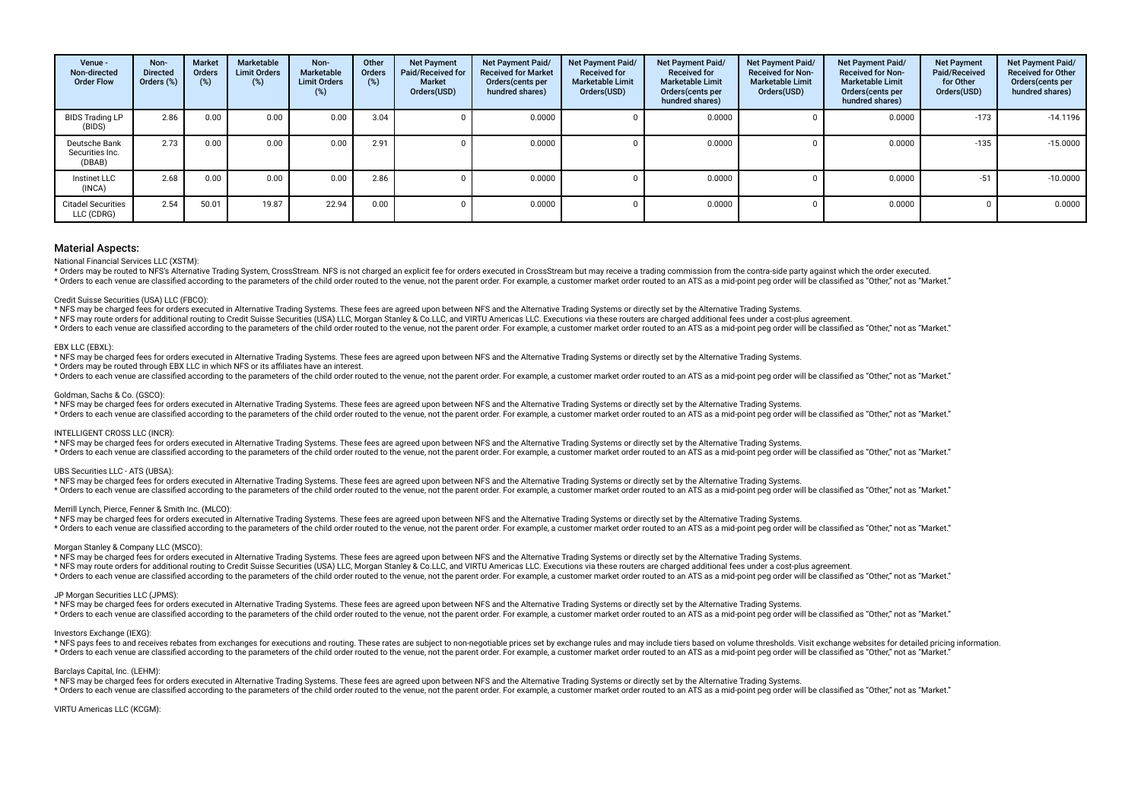| Venue -<br>Non-directed<br><b>Order Flow</b> | Non-<br><b>Directed</b><br>Orders (%) | <b>Market</b><br><b>Orders</b><br>$(\%)$ | Marketable<br><b>Limit Orders</b><br>(%) | Non-<br>Marketable<br><b>Limit Orders</b><br>(%) | Other<br>Orders<br>(%) | <b>Net Payment</b><br>Paid/Received for<br><b>Market</b><br>Orders(USD) | <b>Net Payment Paid/</b><br><b>Received for Market</b><br>Orders (cents per<br>hundred shares) | Net Payment Paid/<br><b>Received for</b><br><b>Marketable Limit</b><br>Orders(USD) | Net Payment Paid/<br><b>Received for</b><br><b>Marketable Limit</b><br>Orders(cents per<br>hundred shares) | <b>Net Payment Paid/</b><br><b>Received for Non-</b><br><b>Marketable Limit</b><br>Orders(USD) | Net Payment Paid/<br><b>Received for Non-</b><br><b>Marketable Limit</b><br>Orders(cents per<br>hundred shares) | <b>Net Payment</b><br>Paid/Received<br>for Other<br>Orders(USD) | Net Payment Paid/<br><b>Received for Other</b><br>Orders(cents per<br>hundred shares) |
|----------------------------------------------|---------------------------------------|------------------------------------------|------------------------------------------|--------------------------------------------------|------------------------|-------------------------------------------------------------------------|------------------------------------------------------------------------------------------------|------------------------------------------------------------------------------------|------------------------------------------------------------------------------------------------------------|------------------------------------------------------------------------------------------------|-----------------------------------------------------------------------------------------------------------------|-----------------------------------------------------------------|---------------------------------------------------------------------------------------|
| <b>BIDS Trading LP</b><br>(BIDS)             | 2.86                                  | 0.00                                     | 0.00                                     | 0.00                                             | 3.04                   |                                                                         | 0.0000                                                                                         |                                                                                    | 0.0000                                                                                                     |                                                                                                | 0.0000                                                                                                          | $-173$                                                          | $-14.1196$                                                                            |
| Deutsche Bank<br>Securities Inc.<br>(DBAB)   | 2.73                                  | 0.00                                     | 0.00                                     | 0.00                                             | 2.91                   |                                                                         | 0.0000                                                                                         |                                                                                    | 0.0000                                                                                                     |                                                                                                | 0.0000                                                                                                          | $-135$                                                          | $-15.0000$                                                                            |
| Instinet LLC<br>(INCA)                       | 2.68                                  | 0.00                                     | 0.00                                     | 0.0C                                             | 2.86                   |                                                                         | 0.0000                                                                                         |                                                                                    | 0.0000                                                                                                     |                                                                                                | 0.0000                                                                                                          | $-51$                                                           | $-10.0000$                                                                            |
| <b>Citadel Securities</b><br>LLC (CDRG)      | 2.54                                  | 50.01                                    | 19.87                                    | 22.94                                            | 0.00                   |                                                                         | 0.0000                                                                                         |                                                                                    | 0.0000                                                                                                     |                                                                                                | 0.0000                                                                                                          |                                                                 | 0.0000                                                                                |

National Financial Services LLC (XSTM):

\* Orders may be routed to NFS's Alternative Trading System, CrossStream. NFS is not charged an explicit fee for orders executed in CrossStream but may receive a trading commission from the contra-side party against which t refer to each venue are classified according to the parameters of the child order puted to the venue not the parent order. For example a customer market order puted to an ATS as a mid-point peq order will be classified as

#### Credit Suisse Securities (USA) LLC (FBCO):

\* NFS may be charged fees for orders executed in Alternative Trading Systems. These fees are agreed upon between NFS and the Alternative Trading Systems or directly set by the Alternative Trading Systems.

\* NFS may route orders for additional routing to Credit Suisse Securities (USA) LLC, Morgan Stanley & Co.LLC, and VIRTU Americas LLC. Executions via these routers are charged additional fees under a cost-plus agreement.

\* Orders to each venue are classified according to the parameters of the child order routed to the venue, not the parent order. For example, a customer market order routed to an ATS as a mid-point peg order will be classif

#### EBX LLC (EBXL):

\* NFS may be charged fees for orders executed in Alternative Trading Systems. These fees are agreed upon between NFS and the Alternative Trading Systems or directly set by the Alternative Trading Systems.

\* Orders may be routed through EBX LLC in which NFS or its afliates have an interest.

\* Orders to each venue are classified according to the parameters of the child order routed to the venue, not the parent order. For example, a customer market order routed to an ATS as a mid-point ped order will be classif

#### Goldman, Sachs & Co. (GSCO):

\* NFS may be charged fees for orders executed in Alternative Trading Systems. These fees are agreed upon between NFS and the Alternative Trading Systems or directly set by the Alternative Trading Systems.

\* Orders to each venue are classified according to the parameters of the child order routed to the venue, not the parent order. For example, a customer market order routed to an ATS as a mid-point peg order will be classif

## INTELLIGENT CROSS LLC (INCR):

\* NFS may be charged fees for orders executed in Alternative Trading Systems. These fees are agreed upon between NFS and the Alternative Trading Systems or directly set by the Alternative Trading Systems. \* Orders to each venue are classified according to the parameters of the child order routed to the venue, not the parent order. For example, a customer market order routed to an ATS as a mid-point peg order will be classif

#### UBS Securities LLC - ATS (UBSA):

\* NFS may be charged fees for orders executed in Alternative Trading Systems. These fees are agreed upon between NFS and the Alternative Trading Systems or directly set by the Alternative Trading Systems. \* Orders to each venue are classified according to the parameters of the child order routed to the venue, not the parent order. For example, a customer market order routed to an ATS as a mid-point ped order will be classif

#### Merrill Lynch, Pierce, Fenner & Smith Inc. (MLCO):

\* NFS may be charged fees for orders executed in Alternative Trading Systems. These fees are agreed upon between NFS and the Alternative Trading Systems or directly set by the Alternative Trading Systems.

\* Orders to each venue are classified according to the parameters of the child order routed to the venue, not the parent order. For example, a customer market order routed to an ATS as a mid-point peq order will be classif

## Morgan Stanley & Company LLC (MSCO):

\* NFS may be charged fees for orders executed in Alternative Trading Systems. These fees are agreed upon between NFS and the Alternative Trading Systems or directly set by the Alternative Trading Systems. \* NFS may route orders for additional routing to Credit Suisse Securities (USA) LLC, Morgan Stanley & Co.LLC, and VIRTU Americas LLC. Executions via these routers are charged additional fees under a cost-plus agreement. \* Orders to each venue are classified according to the parameters of the child order routed to the venue, not the parent order. For example, a customer market order routed to an ATS as a mid-point peg order will be classif

#### JP Morgan Securities LLC (JPMS):

\* NFS may be charged fees for orders executed in Alternative Trading Systems. These fees are agreed upon between NFS and the Alternative Trading Systems or directly set by the Alternative Trading Systems.

\* Orders to each venue are classified according to the parameters of the child order routed to the venue, not the parent order. For example, a customer market order routed to an ATS as a mid-point ped order will be classif

# Investors Exchange (IEXG):

\* NFS pays fees to and receives rebates from exchanges for executions and routing. These rates are subiect to non-negotiable prices set by exchange rules and may include tiers based on yolume thresholds. Visit exchange web \* Orders to each venue are classified according to the parameters of the child order routed to the venue, not the parent order. For example, a customer market order routed to an ATS as a mid-point peq order will be classif

### Barclays Capital, Inc. (LEHM):

\* NFS may be charged fees for orders executed in Alternative Trading Systems. These fees are agreed upon between NFS and the Alternative Trading Systems or directly set by the Alternative Trading Systems. \* Orders to each venue are classified according to the parameters of the child order routed to the venue, not the parent order. For example, a customer market order routed to an ATS as a mid-point peg order will be classif

#### VIRTU Americas LLC (KCGM):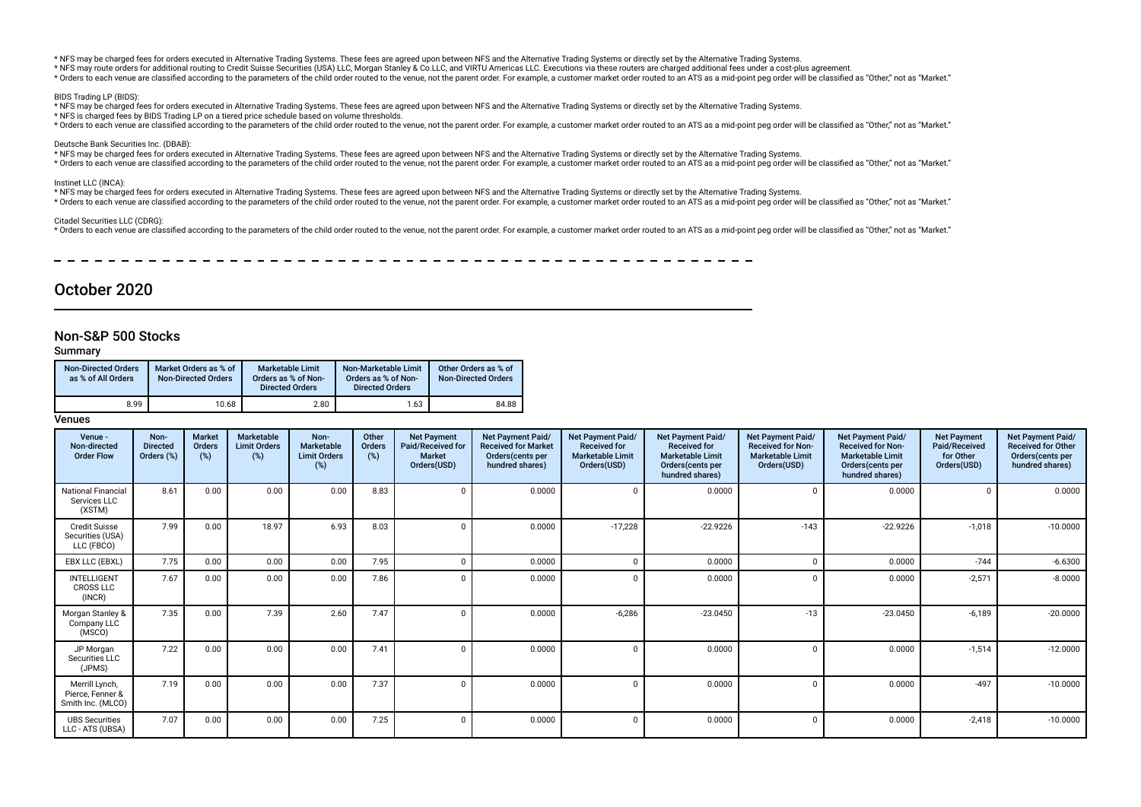\* NFS may be charged fees for orders executed in Alternative Trading Systems. These fees are agreed upon between NFS and the Alternative Trading Systems or directly set by the Alternative Trading Systems.

\* NFS may route orders for additional routing to Credit Suisse Securities (USA) LLC, Morgan Stanley & Co.LLC, and VIRTU Americas LLC. Executions via these routers are charged additional fees under a cost-plus agreement.

\* Orders to each venue are classified according to the parameters of the child order routed to the venue, not the parent order. For example, a customer market order routed to an ATS as a mid-point peg order will be classif

#### BIDS Trading LP (BIDS):

\* NFS may be charged fees for orders executed in Alternative Trading Systems. These fees are agreed upon between NFS and the Alternative Trading Systems or directly set by the Alternative Trading Systems.

\* NFS is charged fees by BIDS Trading LP on a tiered price schedule based on volume thresholds.

\* Orders to each venue are classified according to the parameters of the child order routed to the venue, not the parent order. For example, a customer market order routed to an ATS as a mid-point ped order poil be classif

### Deutsche Bank Securities Inc. (DBAB):

\* NFS may be charged fees for orders executed in Alternative Trading Systems. These fees are agreed upon between NFS and the Alternative Trading Systems or directly set by the Alternative Trading Systems.

\* Orders to each venue are classified according to the parameters of the child order routed to the venue, not the parent order. For example, a customer market order routed to an ATS as a mid-point peq order will be classif

### Instinet LLC (INCA):

\* NFS may be charged fees for orders executed in Alternative Trading Systems. These fees are agreed upon between NFS and the Alternative Trading Systems or directly set by the Alternative Trading Systems. \* Orders to each venue are classified according to the parameters of the child order routed to the venue, not the parent order. For example, a customer market order routed to an ATS as a mid-point ped order will be classif

#### Citadel Securities LLC (CDRG):

\* Orders to each venue are classified according to the parameters of the child order routed to the venue, not the parent order. For example, a customer market order routed to an ATS as a mid-point peg order will be classif

# October 2020

# Non-S&P 500 Stocks

# Summary

| <b>Non-Directed Orders</b><br>as % of All Orders | Market Orders as % of<br><b>Non-Directed Orders</b> | <b>Marketable Limit</b><br>Orders as % of Non-<br><b>Directed Orders</b> | Non-Marketable Limit<br>Orders as % of Non-<br><b>Directed Orders</b> | Other Orders as % of<br><b>Non-Directed Orders</b> |
|--------------------------------------------------|-----------------------------------------------------|--------------------------------------------------------------------------|-----------------------------------------------------------------------|----------------------------------------------------|
| 8.99                                             | 10.68                                               | 2.80                                                                     | 1.63                                                                  | 84.88                                              |

| Venue -<br>Non-directed<br><b>Order Flow</b>            | Non-<br><b>Directed</b><br>Orders (%) | <b>Market</b><br>Orders<br>(%) | Marketable<br><b>Limit Orders</b><br>(%) | Non-<br>Marketable<br><b>Limit Orders</b><br>(%) | Other<br><b>Orders</b><br>(%) | <b>Net Payment</b><br>Paid/Received for<br><b>Market</b><br>Orders(USD) | Net Payment Paid/<br><b>Received for Market</b><br>Orders(cents per<br>hundred shares) | Net Payment Paid/<br><b>Received for</b><br><b>Marketable Limit</b><br>Orders(USD) | Net Payment Paid/<br><b>Received for</b><br>Marketable Limit<br>Orders(cents per<br>hundred shares) | Net Payment Paid/<br><b>Received for Non-</b><br><b>Marketable Limit</b><br>Orders(USD) | Net Payment Paid/<br><b>Received for Non-</b><br><b>Marketable Limit</b><br>Orders(cents per<br>hundred shares) | <b>Net Payment</b><br>Paid/Received<br>for Other<br>Orders(USD) | Net Payment Paid/<br><b>Received for Other</b><br>Orders(cents per<br>hundred shares) |
|---------------------------------------------------------|---------------------------------------|--------------------------------|------------------------------------------|--------------------------------------------------|-------------------------------|-------------------------------------------------------------------------|----------------------------------------------------------------------------------------|------------------------------------------------------------------------------------|-----------------------------------------------------------------------------------------------------|-----------------------------------------------------------------------------------------|-----------------------------------------------------------------------------------------------------------------|-----------------------------------------------------------------|---------------------------------------------------------------------------------------|
| National Financial<br>Services LLC<br>(XSTM)            | 8.61                                  | 0.00                           | 0.00                                     | 0.00                                             | 8.83                          | $\Omega$                                                                | 0.0000                                                                                 | $\Omega$                                                                           | 0.0000                                                                                              | $\Omega$                                                                                | 0.0000                                                                                                          |                                                                 | 0.0000                                                                                |
| <b>Credit Suisse</b><br>Securities (USA)<br>LLC (FBCO)  | 7.99                                  | 0.00                           | 18.97                                    | 6.93                                             | 8.03                          | $\Omega$                                                                | 0.0000                                                                                 | $-17,228$                                                                          | $-22.9226$                                                                                          | $-143$                                                                                  | $-22.9226$                                                                                                      | $-1,018$                                                        | $-10.0000$                                                                            |
| EBX LLC (EBXL)                                          | 7.75                                  | 0.00                           | 0.00                                     | 0.00                                             | 7.95                          |                                                                         | 0.0000                                                                                 | $\Omega$                                                                           | 0.0000                                                                                              |                                                                                         | 0.0000                                                                                                          | $-744$                                                          | $-6.6300$                                                                             |
| <b>INTELLIGENT</b><br><b>CROSS LLC</b><br>(INCR)        | 7.67                                  | 0.00                           | 0.00                                     | 0.00                                             | 7.86                          | $\Omega$                                                                | 0.0000                                                                                 | n                                                                                  | 0.0000                                                                                              |                                                                                         | 0.0000                                                                                                          | $-2,571$                                                        | $-8.0000$                                                                             |
| Morgan Stanley &<br>Company LLC<br>(MSCO)               | 7.35                                  | 0.00                           | 7.39                                     | 2.60                                             | 7.47                          | $\Omega$                                                                | 0.0000                                                                                 | $-6,286$                                                                           | $-23.0450$                                                                                          | $-13$                                                                                   | $-23.0450$                                                                                                      | $-6,189$                                                        | $-20.0000$                                                                            |
| JP Morgan<br>Securities LLC<br>(JPMS)                   | 7.22                                  | 0.00                           | 0.00                                     | 0.00                                             | 7.41                          |                                                                         | 0.0000                                                                                 | $\Omega$                                                                           | 0.0000                                                                                              |                                                                                         | 0.0000                                                                                                          | $-1,514$                                                        | $-12.0000$                                                                            |
| Merrill Lynch,<br>Pierce, Fenner &<br>Smith Inc. (MLCO) | 7.19                                  | 0.00                           | 0.00                                     | 0.00                                             | 7.37                          | $\Omega$                                                                | 0.0000                                                                                 |                                                                                    | 0.0000                                                                                              |                                                                                         | 0.0000                                                                                                          | $-497$                                                          | $-10.0000$                                                                            |
| <b>UBS Securities</b><br>LLC - ATS (UBSA)               | 7.07                                  | 0.00                           | 0.00                                     | 0.00                                             | 7.25                          | $\Omega$                                                                | 0.0000                                                                                 | $\Omega$                                                                           | 0.0000                                                                                              | $\Omega$                                                                                | 0.0000                                                                                                          | $-2,418$                                                        | $-10.0000$                                                                            |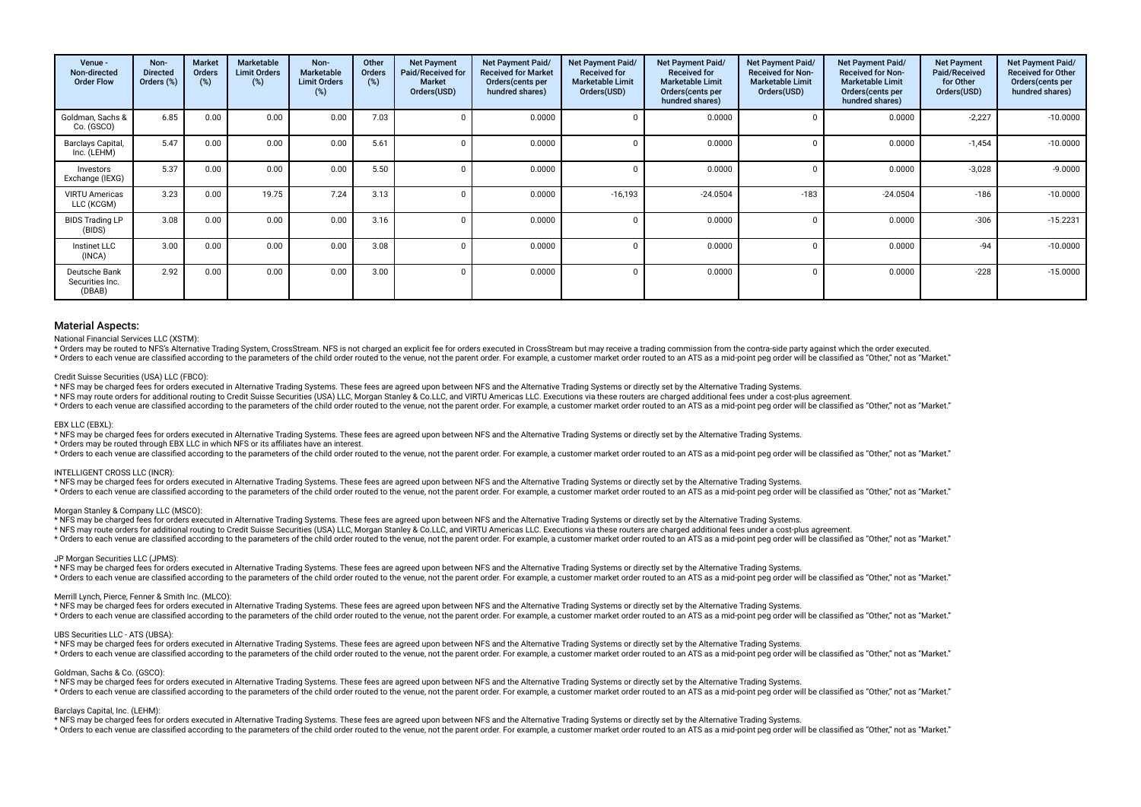| Venue -<br>Non-directed<br><b>Order Flow</b> | Non-<br><b>Directed</b><br>Orders (%) | <b>Market</b><br><b>Orders</b><br>(%) | Marketable<br><b>Limit Orders</b><br>(%) | Non-<br><b>Marketable</b><br><b>Limit Orders</b><br>$(\%)$ | Other<br>Orders<br>(%) | <b>Net Payment</b><br>Paid/Received for<br><b>Market</b><br>Orders(USD) | Net Payment Paid/<br><b>Received for Market</b><br>Orders (cents per<br>hundred shares) | Net Payment Paid/<br><b>Received for</b><br><b>Marketable Limit</b><br>Orders(USD) | Net Payment Paid/<br><b>Received for</b><br><b>Marketable Limit</b><br>Orders(cents per<br>hundred shares) | Net Payment Paid/<br><b>Received for Non-</b><br><b>Marketable Limit</b><br>Orders(USD) | Net Payment Paid/<br><b>Received for Non-</b><br><b>Marketable Limit</b><br>Orders(cents per<br>hundred shares) | <b>Net Payment</b><br>Paid/Received<br>for Other<br>Orders(USD) | Net Payment Paid/<br><b>Received for Other</b><br>Orders(cents per<br>hundred shares) |
|----------------------------------------------|---------------------------------------|---------------------------------------|------------------------------------------|------------------------------------------------------------|------------------------|-------------------------------------------------------------------------|-----------------------------------------------------------------------------------------|------------------------------------------------------------------------------------|------------------------------------------------------------------------------------------------------------|-----------------------------------------------------------------------------------------|-----------------------------------------------------------------------------------------------------------------|-----------------------------------------------------------------|---------------------------------------------------------------------------------------|
| Goldman, Sachs &<br>Co. (GSCO)               | 6.85                                  | 0.00                                  | 0.00                                     | 0.00                                                       | 7.03                   |                                                                         | 0.0000                                                                                  |                                                                                    | 0.0000                                                                                                     |                                                                                         | 0.0000                                                                                                          | $-2,227$                                                        | $-10.0000$                                                                            |
| Barclays Capital,<br>Inc. (LEHM)             | 5.47                                  | 0.00                                  | 0.00                                     | 0.00                                                       | 5.61                   |                                                                         | 0.0000                                                                                  |                                                                                    | 0.0000                                                                                                     |                                                                                         | 0.0000                                                                                                          | $-1,454$                                                        | $-10.0000$                                                                            |
| Investors<br>Exchange (IEXG)                 | 5.37                                  | 0.00                                  | 0.00                                     | 0.00                                                       | 5.50                   |                                                                         | 0.0000                                                                                  |                                                                                    | 0.0000                                                                                                     |                                                                                         | 0.0000                                                                                                          | $-3,028$                                                        | $-9.0000$                                                                             |
| <b>VIRTU Americas</b><br>LLC (KCGM)          | 3.23                                  | 0.00                                  | 19.75                                    | 7.24                                                       | 3.13                   |                                                                         | 0.0000                                                                                  | $-16,193$                                                                          | $-24.0504$                                                                                                 | $-183$                                                                                  | $-24.0504$                                                                                                      | $-186$                                                          | $-10.0000$                                                                            |
| <b>BIDS Trading LP</b><br>(BIDS)             | 3.08                                  | 0.00                                  | 0.00                                     | 0.00                                                       | 3.16                   |                                                                         | 0.0000                                                                                  |                                                                                    | 0.0000                                                                                                     |                                                                                         | 0.0000                                                                                                          | $-306$                                                          | $-15.2231$                                                                            |
| Instinet LLC<br>(INCA)                       | 3.00                                  | 0.00                                  | 0.00                                     | 0.00                                                       | 3.08                   |                                                                         | 0.0000                                                                                  |                                                                                    | 0.0000                                                                                                     |                                                                                         | 0.0000                                                                                                          | $-94$                                                           | $-10.0000$                                                                            |
| Deutsche Bank<br>Securities Inc.<br>(DBAB)   | 2.92                                  | 0.00                                  | 0.00                                     | 0.00                                                       | 3.00                   |                                                                         | 0.0000                                                                                  |                                                                                    | 0.0000                                                                                                     |                                                                                         | 0.0000                                                                                                          | $-228$                                                          | $-15.0000$                                                                            |

#### National Financial Services LLC (XSTM):

\* Orders may be routed to NFS's Alternative Trading System, CrossStream. NFS is not charged an explicit fee for orders executed in CrossStream but may receive a trading commission from the contra-side party against which t

\* Orders to each venue are classified according to the parameters of the child order routed to the venue, not the parent order. For example, a customer market order routed to an ATS as a mid-point peg order will be classif

#### Credit Suisse Securities (USA) LLC (FBCO):

\* NFS may be charged fees for orders executed in Alternative Trading Systems. These fees are agreed upon between NFS and the Alternative Trading Systems or directly set by the Alternative Trading Systems.

\* NFS may route orders for additional routing to Credit Suisse Securities (USA) LLC, Morgan Stanley & Co.LLC, and VIRTU Americas LLC. Executions via these routers are charged additional fees under a cost-plus agreement.

\* Orders to each venue are classified according to the parameters of the child order routed to the venue, not the parent order. For example, a customer market order routed to an ATS as a mid-point peg order will be classif

#### EBX LLC (EBXL):

\* NFS may be charged fees for orders executed in Alternative Trading Systems. These fees are agreed upon between NFS and the Alternative Trading Systems or directly set by the Alternative Trading Systems.

\* Orders may be routed through EBX LLC in which NFS or its afliates have an interest.

\* Orders to each venue are classified according to the parameters of the child order routed to the venue, not the parent order. For example, a customer market order routed to an ATS as a mid-point peg order will be classif

#### INTELLIGENT CROSS LLC (INCR):

\* NFS may be charged fees for orders executed in Alternative Trading Systems. These fees are agreed upon between NFS and the Alternative Trading Systems or directly set by the Alternative Trading Systems.

\* Orders to each venue are classified according to the parameters of the child order routed to the venue, not the parent order. For example, a customer market order routed to an ATS as a mid-point peg order will be classif

#### Morgan Stanley & Company LLC (MSCO):

\* NFS may be charged fees for orders executed in Alternative Trading Systems. These fees are agreed upon between NFS and the Alternative Trading Systems or directly set by the Alternative Trading Systems.

\* NFS may route orders for additional routing to Credit Suisse Securities (USA) LLC, Morgan Stanley & Co.LLC, and VIRTU Americas LLC. Executions via these routers are charged additional fees under a cost-plus agreement.

\* Orders to each venue are classified according to the parameters of the child order routed to the venue, not the parent order. For example, a customer market order routed to an ATS as a mid-point peg order will be classif

#### JP Morgan Securities LLC (JPMS):

\* NFS may be charged fees for orders executed in Alternative Trading Systems. These fees are agreed upon between NFS and the Alternative Trading Systems or directly set by the Alternative Trading Systems. \* Orders to each venue are classified according to the parameters of the child order routed to the venue, not the parent order. For example, a customer market order routed to an ATS as a mid-point ped order will be classif

#### Merrill Lynch, Pierce, Fenner & Smith Inc. (MLCO):

\* NFS may be charged fees for orders executed in Alternative Trading Systems. These fees are agreed upon between NFS and the Alternative Trading Systems or directly set by the Alternative Trading Systems.

\* Orders to each venue are classified according to the parameters of the child order routed to the venue, not the parent order. For example, a customer market order routed to an ATS as a mid-point peg order will be classif

### UBS Securities LLC - ATS (UBSA):

\* NFS may be charged fees for orders executed in Alternative Trading Systems. These fees are agreed upon between NFS and the Alternative Trading Systems or directly set by the Alternative Trading Systems. \* Orders to each venue are classified according to the parameters of the child order routed to the venue, not the parent order. For example, a customer market order routed to an ATS as a mid-point ped order will be classif

#### Goldman, Sachs & Co. (GSCO):

\* NFS may be charged fees for orders executed in Alternative Trading Systems. These fees are agreed upon between NFS and the Alternative Trading Systems or directly set by the Alternative Trading Systems.

\* Orders to each venue are classified according to the parameters of the child order routed to the venue, not the parent order. For example, a customer market order routed to an ATS as a mid-point peg order will be classif

#### Barclays Capital, Inc. (LEHM):

\* NFS may be charged fees for orders executed in Alternative Trading Systems. These fees are agreed upon between NFS and the Alternative Trading Systems or directly set by the Alternative Trading Systems.

recovered to the parameters of the child order puted to the venue and the parent order. For example a customer market order puted to an ATS as a mid-point peq order will be classified as "Other" not as "Narket"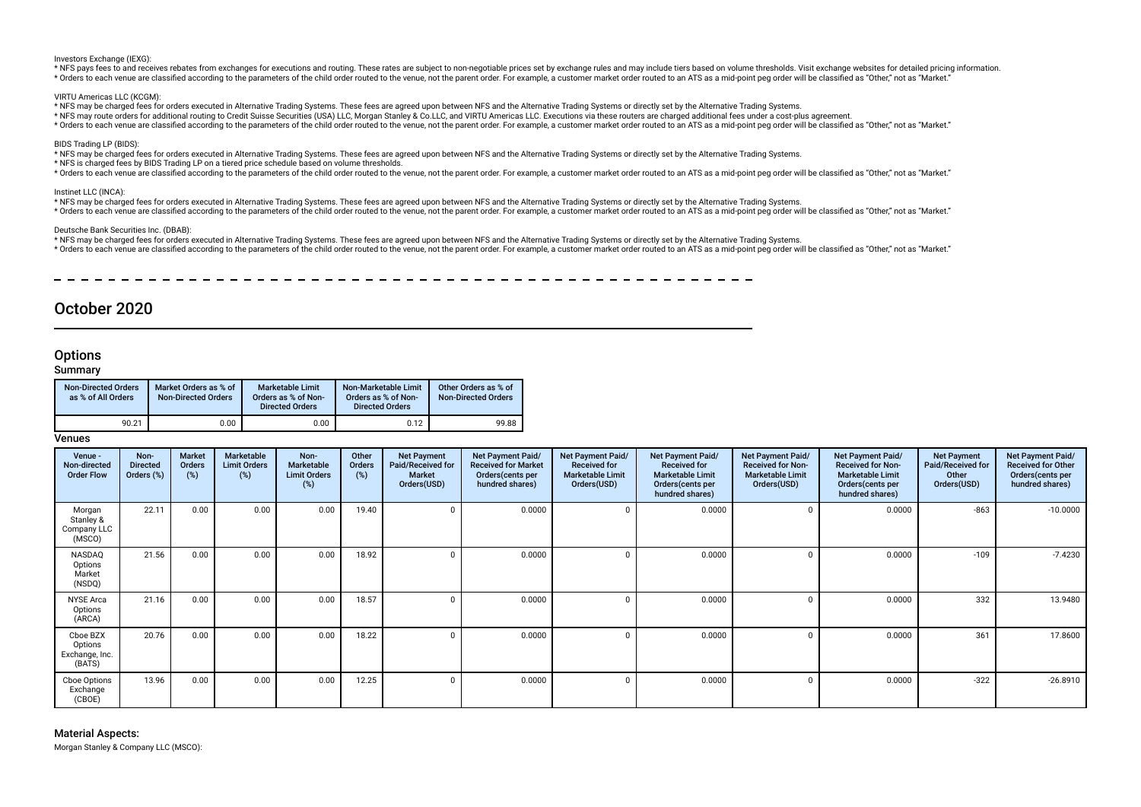Investors Exchange (IEXG):

\* NFS pays fees to and receives rebates from exchanges for executions and routing. These rates are subject to non-negotiable prices set by exchange rules and may include tiers based on volume thresholds. Visit exchange web \* Orders to each venue are classified according to the parameters of the child order routed to the venue, not the parent order. For example, a customer market order routed to an ATS as a mid-point ped order will be classif

VIRTU Americas LLC (KCGM):

- \* NFS may be charged fees for orders executed in Alternative Trading Systems. These fees are agreed upon between NFS and the Alternative Trading Systems or directly set by the Alternative Trading Systems.
- \* NFS may route orders for additional routing to Credit Suisse Securities (USA) LLC, Morgan Stanley & Co.LLC, and VIRTU Americas LLC. Executions via these routers are charged additional fees under a cost-plus agreement.
- \* Orders to each venue are classified according to the parameters of the child order routed to the venue. not the parent order. For example, a customer market order routed to an ATS as a mid-point peg order will be classif

#### BIDS Trading LP (BIDS):

\* NFS may be charged fees for orders executed in Alternative Trading Systems. These fees are agreed upon between NFS and the Alternative Trading Systems or directly set by the Alternative Trading Systems.

- \* NFS is charged fees by BIDS Trading LP on a tiered price schedule based on volume thresholds.
- \* Orders to each venue are classified according to the parameters of the child order routed to the venue, not the parent order. For example, a customer market order routed to an ATS as a mid-point ped order poil be classif

#### Instinet LLC (INCA):

- \* NFS may be charged fees for orders executed in Alternative Trading Systems. These fees are agreed upon between NFS and the Alternative Trading Systems or directly set by the Alternative Trading Systems.
- \* Orders to each venue are classified according to the parameters of the child order routed to the venue, not the parent order. For example, a customer market order routed to an ATS as a mid-point peq order will be classif

#### Deutsche Bank Securities Inc. (DBAB):

- \* NFS may be charged fees for orders executed in Alternative Trading Systems. These fees are agreed upon between NFS and the Alternative Trading Systems or directly set by the Alternative Trading Systems.
- \* Orders to each venue are classified according to the parameters of the child order routed to the venue, not the parent order. For example, a customer market order routed to an ATS as a mid-point peq order will be classif

# October 2020

# **Options**

# **Summary**

| <b>Non-Directed Orders</b><br>as % of All Orders | Market Orders as % of<br><b>Non-Directed Orders</b> | <b>Marketable Limit</b><br>Orders as % of Non-<br><b>Directed Orders</b> | Non-Marketable Limit<br>Orders as % of Non-<br><b>Directed Orders</b> | Other Orders as % of<br><b>Non-Directed Orders</b> |
|--------------------------------------------------|-----------------------------------------------------|--------------------------------------------------------------------------|-----------------------------------------------------------------------|----------------------------------------------------|
| 90.21                                            | 0.00                                                | 0.00                                                                     | 0.12                                                                  | 99.88                                              |

# Venues

| Venue -<br>Non-directed<br><b>Order Flow</b>    | Non-<br><b>Directed</b><br>Orders (%) | Market<br>Orders<br>$(\%)$ | Marketable<br><b>Limit Orders</b><br>(%) | Non-<br><b>Marketable</b><br><b>Limit Orders</b><br>(%) | Other<br>Orders<br>(%) | <b>Net Payment</b><br>Paid/Received for<br><b>Market</b><br>Orders(USD) | <b>Net Payment Paid/</b><br><b>Received for Market</b><br>Orders(cents per<br>hundred shares) | Net Payment Paid/<br><b>Received for</b><br><b>Marketable Limit</b><br>Orders(USD) | Net Payment Paid/<br><b>Received for</b><br><b>Marketable Limit</b><br>Orders (cents per<br>hundred shares) | Net Payment Paid/<br><b>Received for Non-</b><br><b>Marketable Limit</b><br>Orders(USD) | <b>Net Payment Paid/</b><br><b>Received for Non-</b><br><b>Marketable Limit</b><br>Orders (cents per<br>hundred shares) | <b>Net Payment</b><br>Paid/Received for<br>Other<br>Orders(USD) | Net Payment Paid/<br><b>Received for Other</b><br>Orders (cents per<br>hundred shares) |
|-------------------------------------------------|---------------------------------------|----------------------------|------------------------------------------|---------------------------------------------------------|------------------------|-------------------------------------------------------------------------|-----------------------------------------------------------------------------------------------|------------------------------------------------------------------------------------|-------------------------------------------------------------------------------------------------------------|-----------------------------------------------------------------------------------------|-------------------------------------------------------------------------------------------------------------------------|-----------------------------------------------------------------|----------------------------------------------------------------------------------------|
| Morgan<br>Stanley &<br>Company LLC<br>(MSCO)    | 22.11                                 | 0.00                       | 0.00                                     | 0.00                                                    | 19.40                  |                                                                         | 0.0000                                                                                        | $\Omega$                                                                           | 0.0000                                                                                                      |                                                                                         | 0.0000                                                                                                                  | $-863$                                                          | $-10.0000$                                                                             |
| NASDAQ<br>Options<br>Market<br>(NSDQ)           | 21.56                                 | 0.00                       | 0.00                                     | 0.00                                                    | 18.92                  |                                                                         | 0.0000                                                                                        | $\Omega$                                                                           | 0.0000                                                                                                      |                                                                                         | 0.0000                                                                                                                  | $-109$                                                          | $-7.4230$                                                                              |
| <b>NYSE Arca</b><br>Options<br>(ARCA)           | 21.16                                 | 0.00                       | 0.00                                     | 0.00                                                    | 18.57                  |                                                                         | 0.0000                                                                                        | 0                                                                                  | 0.0000                                                                                                      |                                                                                         | 0.0000                                                                                                                  | 332                                                             | 13.9480                                                                                |
| Cboe BZX<br>Options<br>Exchange, Inc.<br>(BATS) | 20.76                                 | 0.00                       | 0.00                                     | 0.00                                                    | 18.22                  |                                                                         | 0.0000                                                                                        | $\Omega$                                                                           | 0.0000                                                                                                      |                                                                                         | 0.0000                                                                                                                  | 361                                                             | 17.8600                                                                                |
| Cboe Options<br>Exchange<br>(CBOE)              | 13.96                                 | 0.00                       | 0.00                                     | 0.00                                                    | 12.25                  |                                                                         | 0.0000                                                                                        | $\Omega$                                                                           | 0.0000                                                                                                      |                                                                                         | 0.0000                                                                                                                  | $-322$                                                          | $-26.8910$                                                                             |

Material Aspects: Morgan Stanley & Company LLC (MSCO):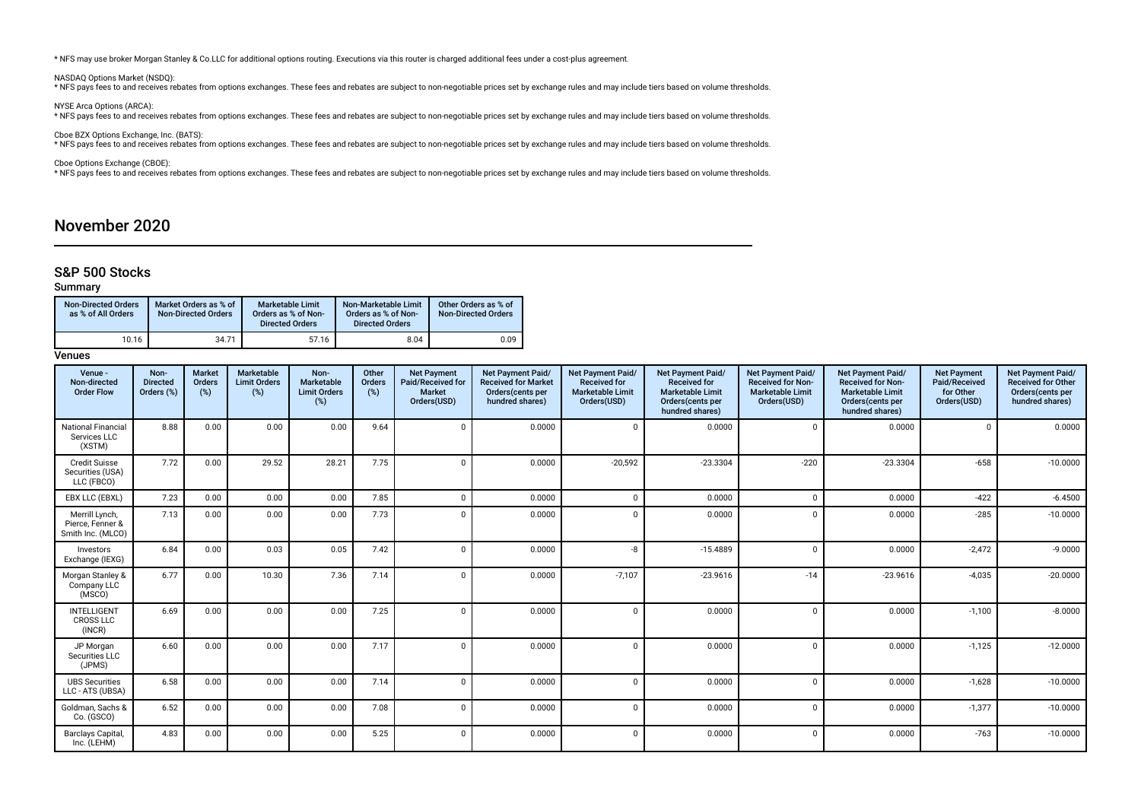\* NFS may use broker Morgan Stanley & Co.LLC for additional options routing. Executions via this router is charged additional fees under a cost-plus agreement.

NASDAQ Options Market (NSDQ):

\* NFS pays fees to and receives rebates from options exchanges. These fees and rebates are subject to non-negotiable prices set by exchange rules and may include tiers based on volume thresholds.

NYSE Arca Options (ARCA):

\* NFS pays fees to and receives rebates from options exchanges. These fees and rebates are subject to non-negotiable prices set by exchange rules and may include tiers based on volume thresholds.

Cboe BZX Options Exchange, Inc. (BATS):<br>\* NFS pays fees to and receives rebates from options exchanges. These fees and rebates are subject to non-negotiable prices set by exchange rules and may include tiers based on volum

Cboe Options Exchange (CBOE):

\* NFS pays fees to and receives rebates from options exchanges. These fees and rebates are subject to non-negotiable prices set by exchange rules and may include tiers based on volume thresholds.

# November 2020

# S&P 500 Stocks

# Summary

| <b>Non-Directed Orders</b><br>as % of All Orders | Market Orders as % of<br><b>Non-Directed Orders</b> | Marketable Limit<br>Orders as % of Non-<br><b>Directed Orders</b> | Non-Marketable Limit<br>Orders as % of Non-<br><b>Directed Orders</b> | Other Orders as % of<br><b>Non-Directed Orders</b> |
|--------------------------------------------------|-----------------------------------------------------|-------------------------------------------------------------------|-----------------------------------------------------------------------|----------------------------------------------------|
| 10.16                                            | 34.71                                               | 57.16                                                             | 8.04                                                                  | 0.09                                               |

| Venue -<br>Non-directed<br><b>Order Flow</b>            | Non-<br><b>Directed</b><br>Orders (%) | <b>Market</b><br>Orders<br>(%) | Marketable<br><b>Limit Orders</b><br>(%) | Non-<br>Marketable<br><b>Limit Orders</b><br>(%) | Other<br>Orders<br>(%) | <b>Net Payment</b><br>Paid/Received for<br><b>Market</b><br>Orders(USD) | <b>Net Payment Paid/</b><br><b>Received for Market</b><br>Orders(cents per<br>hundred shares) | <b>Net Payment Paid/</b><br><b>Received for</b><br><b>Marketable Limit</b><br>Orders(USD) | Net Payment Paid/<br><b>Received for</b><br><b>Marketable Limit</b><br>Orders(cents per<br>hundred shares) | Net Payment Paid/<br><b>Received for Non-</b><br><b>Marketable Limit</b><br>Orders(USD) | <b>Net Payment Paid/</b><br><b>Received for Non-</b><br><b>Marketable Limit</b><br>Orders(cents per<br>hundred shares) | <b>Net Payment</b><br>Paid/Received<br>for Other<br>Orders(USD) | Net Payment Paid/<br><b>Received for Other</b><br>Orders(cents per<br>hundred shares) |
|---------------------------------------------------------|---------------------------------------|--------------------------------|------------------------------------------|--------------------------------------------------|------------------------|-------------------------------------------------------------------------|-----------------------------------------------------------------------------------------------|-------------------------------------------------------------------------------------------|------------------------------------------------------------------------------------------------------------|-----------------------------------------------------------------------------------------|------------------------------------------------------------------------------------------------------------------------|-----------------------------------------------------------------|---------------------------------------------------------------------------------------|
| National Financial<br>Services LLC<br>(XSTM)            | 8.88                                  | 0.00                           | 0.00                                     | 0.00                                             | 9.64                   | $\Omega$                                                                | 0.0000                                                                                        | $\Omega$                                                                                  | 0.0000                                                                                                     | $\Omega$                                                                                | 0.0000                                                                                                                 | $\Omega$                                                        | 0.0000                                                                                |
| <b>Credit Suisse</b><br>Securities (USA)<br>LLC (FBCO)  | 7.72                                  | 0.00                           | 29.52                                    | 28.21                                            | 7.75                   | $\Omega$                                                                | 0.0000                                                                                        | $-20,592$                                                                                 | $-23.3304$                                                                                                 | $-220$                                                                                  | $-23.3304$                                                                                                             | $-658$                                                          | $-10.0000$                                                                            |
| EBX LLC (EBXL)                                          | 7.23                                  | 0.00                           | 0.00                                     | 0.00                                             | 7.85                   | $\mathbf 0$                                                             | 0.0000                                                                                        | $\Omega$                                                                                  | 0.0000                                                                                                     | $\Omega$                                                                                | 0.0000                                                                                                                 | $-422$                                                          | $-6.4500$                                                                             |
| Merrill Lynch,<br>Pierce, Fenner &<br>Smith Inc. (MLCO) | 7.13                                  | 0.00                           | 0.00                                     | 0.00                                             | 7.73                   | $\Omega$                                                                | 0.0000                                                                                        | $\mathbf 0$                                                                               | 0.0000                                                                                                     | $\Omega$                                                                                | 0.0000                                                                                                                 | $-285$                                                          | $-10.0000$                                                                            |
| Investors<br>Exchange (IEXG)                            | 6.84                                  | 0.00                           | 0.03                                     | 0.05                                             | 7.42                   | $\mathbf 0$                                                             | 0.0000                                                                                        | -8                                                                                        | $-15.4889$                                                                                                 | $\Omega$                                                                                | 0.0000                                                                                                                 | $-2,472$                                                        | $-9.0000$                                                                             |
| Morgan Stanley &<br>Company LLC<br>(MSCO)               | 6.77                                  | 0.00                           | 10.30                                    | 7.36                                             | 7.14                   | $\Omega$                                                                | 0.0000                                                                                        | $-7,107$                                                                                  | $-23.9616$                                                                                                 | $-14$                                                                                   | $-23.9616$                                                                                                             | $-4,035$                                                        | $-20.0000$                                                                            |
| <b>INTELLIGENT</b><br><b>CROSS LLC</b><br>(INCR)        | 6.69                                  | 0.00                           | 0.00                                     | 0.00                                             | 7.25                   | $\Omega$                                                                | 0.0000                                                                                        | $\Omega$                                                                                  | 0.0000                                                                                                     | $\Omega$                                                                                | 0.0000                                                                                                                 | $-1,100$                                                        | $-8.0000$                                                                             |
| JP Morgan<br>Securities LLC<br>(JPMS)                   | 6.60                                  | 0.00                           | 0.00                                     | 0.00                                             | 7.17                   | $\mathbf 0$                                                             | 0.0000                                                                                        | $\Omega$                                                                                  | 0.0000                                                                                                     | $\Omega$                                                                                | 0.0000                                                                                                                 | $-1,125$                                                        | $-12.0000$                                                                            |
| <b>UBS Securities</b><br>LLC - ATS (UBSA)               | 6.58                                  | 0.00                           | 0.00                                     | 0.00                                             | 7.14                   | $\mathbf 0$                                                             | 0.0000                                                                                        | $\Omega$                                                                                  | 0.0000                                                                                                     | $\Omega$                                                                                | 0.0000                                                                                                                 | $-1,628$                                                        | $-10.0000$                                                                            |
| Goldman, Sachs &<br>Co. (GSCO)                          | 6.52                                  | 0.00                           | 0.00                                     | 0.00                                             | 7.08                   | $\mathbf 0$                                                             | 0.0000                                                                                        | $\Omega$                                                                                  | 0.0000                                                                                                     | $\Omega$                                                                                | 0.0000                                                                                                                 | $-1,377$                                                        | $-10.0000$                                                                            |
| Barclays Capital,<br>Inc. (LEHM)                        | 4.83                                  | 0.00                           | 0.00                                     | 0.00                                             | 5.25                   | $\mathbf 0$                                                             | 0.0000                                                                                        | $\mathbf 0$                                                                               | 0.0000                                                                                                     | $\Omega$                                                                                | 0.0000                                                                                                                 | $-763$                                                          | $-10.0000$                                                                            |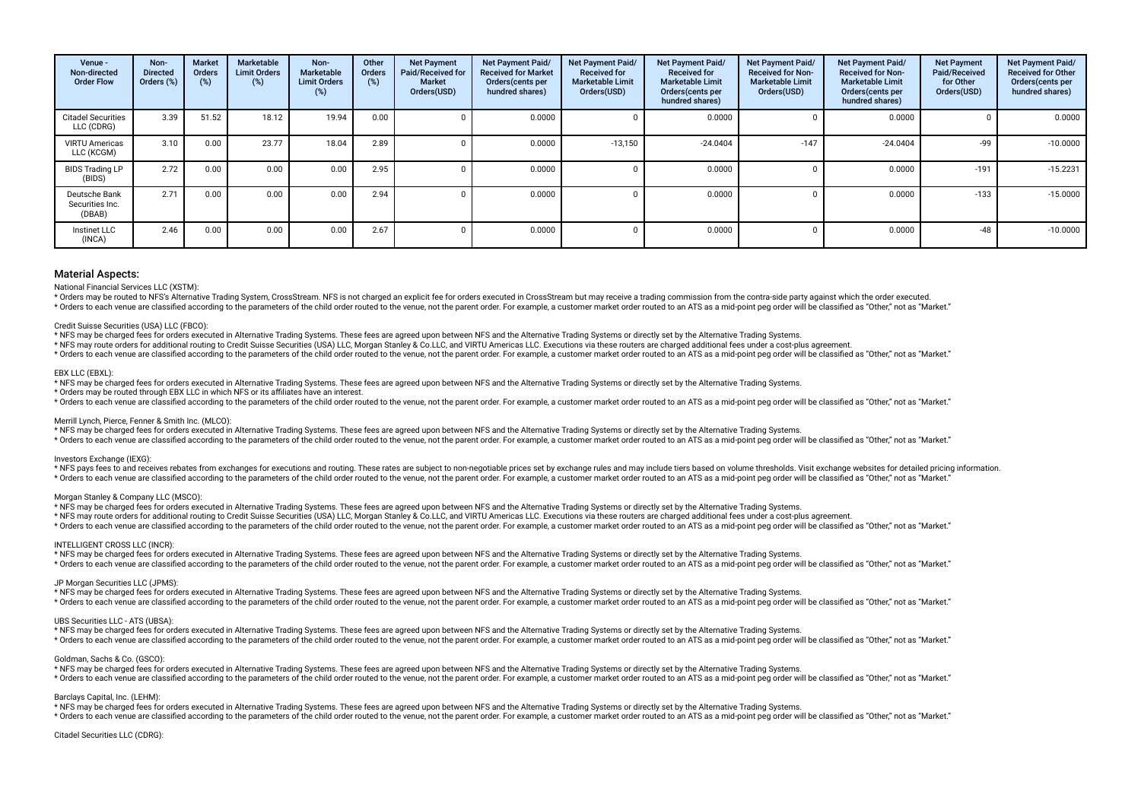| Venue -<br>Non-directed<br><b>Order Flow</b> | Non-<br><b>Directed</b><br>Orders (%) | <b>Market</b><br><b>Orders</b><br>$(\%)$ | Marketable<br><b>Limit Orders</b><br>(%) | Non-<br>Marketable<br><b>Limit Orders</b><br>(%) | Other<br><b>Orders</b><br>(%) | <b>Net Payment</b><br>Paid/Received for<br><b>Market</b><br>Orders(USD) | <b>Net Payment Paid/</b><br><b>Received for Market</b><br>Orders(cents per<br>hundred shares) | Net Payment Paid/<br><b>Received for</b><br><b>Marketable Limit</b><br>Orders(USD) | Net Payment Paid/<br><b>Received for</b><br><b>Marketable Limit</b><br>Orders(cents per<br>hundred shares) | Net Payment Paid/<br><b>Received for Non-</b><br><b>Marketable Limit</b><br>Orders(USD) | Net Payment Paid/<br><b>Received for Non-</b><br><b>Marketable Limit</b><br>Orders(cents per<br>hundred shares) | <b>Net Payment</b><br>Paid/Received<br>for Other<br>Orders(USD) | Net Payment Paid/<br><b>Received for Other</b><br>Orders(cents per<br>hundred shares) |
|----------------------------------------------|---------------------------------------|------------------------------------------|------------------------------------------|--------------------------------------------------|-------------------------------|-------------------------------------------------------------------------|-----------------------------------------------------------------------------------------------|------------------------------------------------------------------------------------|------------------------------------------------------------------------------------------------------------|-----------------------------------------------------------------------------------------|-----------------------------------------------------------------------------------------------------------------|-----------------------------------------------------------------|---------------------------------------------------------------------------------------|
| <b>Citadel Securities</b><br>LLC (CDRG)      | 3.39                                  | 51.52                                    | 18.12                                    | 19.94                                            | 0.00                          |                                                                         | 0.0000                                                                                        |                                                                                    | 0.0000                                                                                                     |                                                                                         | 0.0000                                                                                                          |                                                                 | 0.0000                                                                                |
| <b>VIRTU Americas</b><br>LLC (KCGM)          | 3.10                                  | 0.00                                     | 23.77                                    | 18.04                                            | 2.89                          |                                                                         | 0.0000                                                                                        | $-13,150$                                                                          | $-24.0404$                                                                                                 | $-147$                                                                                  | $-24.0404$                                                                                                      | -99                                                             | $-10.0000$                                                                            |
| <b>BIDS Trading LP</b><br>(BIDS)             | 2.72                                  | 0.00                                     | 0.00                                     | 0.00                                             | 2.95                          |                                                                         | 0.0000                                                                                        |                                                                                    | 0.0000                                                                                                     |                                                                                         | 0.0000                                                                                                          | $-191$                                                          | $-15.2231$                                                                            |
| Deutsche Bank<br>Securities Inc.<br>(DBAB)   | 2.71                                  | 0.00                                     | 0.00                                     | 0.00                                             | 2.94                          |                                                                         | 0.0000                                                                                        |                                                                                    | 0.0000                                                                                                     |                                                                                         | 0.0000                                                                                                          | $-133$                                                          | $-15.0000$                                                                            |
| Instinet LLC<br>(INCA)                       | 2.46                                  | 0.00                                     | 0.00                                     | 0.00                                             | 2.67                          |                                                                         | 0.0000                                                                                        |                                                                                    | 0.0000                                                                                                     |                                                                                         | 0.0000                                                                                                          | $-48$                                                           | $-10.0000$                                                                            |

National Financial Services LLC (XSTM):

\* Orders may be routed to NES's Alternative Trading System. CrossStream, NES is not charged an explicit fee for orders executed in CrossStream but may receive a trading commission from the contra-side party against which t

\* Orders to each venue are classified according to the parameters of the child order routed to the venue, not the parent order. For example, a customer market order routed to an ATS as a mid-point peq order will be classif

#### Credit Suisse Securities (USA) LLC (FBCO):

\* NFS may be charged fees for orders executed in Alternative Trading Systems. These fees are agreed upon between NFS and the Alternative Trading Systems or directly set by the Alternative Trading Systems.

\* NFS may route orders for additional routing to Credit Suisse Securities (USA) LLC, Morgan Stanley & Co.LLC, and VIRTU Americas LLC. Executions via these routers are charged additional fees under a cost-plus agreement.

\* Orders to each venue are classified according to the parameters of the child order routed to the venue, not the parent order. For example, a customer market order routed to an ATS as a mid-point peg order will be classif

## EBX LLC (EBXL):

\* NFS may be charged fees for orders executed in Alternative Trading Systems. These fees are agreed upon between NFS and the Alternative Trading Systems or directly set by the Alternative Trading Systems.

\* Orders may be routed through EBX LLC in which NFS or its afliates have an interest.

\* Orders to each venue are classified according to the parameters of the child order routed to the yenue not the narent order. For example a customer market order routed to an ATS as a mid-point peg order will be classifie

#### Merrill Lynch, Pierce, Fenner & Smith Inc. (MLCO):

\* NFS may be charged fees for orders executed in Alternative Trading Systems. These fees are agreed upon between NFS and the Alternative Trading Systems or directly set by the Alternative Trading Systems.

\* Orders to each venue are classified according to the parameters of the child order routed to the venue, not the parent order. For example, a customer market order routed to an ATS as a mid-point peq order will be classif

#### Investors Exchange (IEXG):

\* NFS pays fees to and receives rebates from exchanges for executions and routing. These rates are subject to non-negotiable prices set by exchange rules and may include tiers based on yolume thresholds. Visit exchange web \* Orders to each venue are classified according to the parameters of the child order routed to the venue, not the parent order. For example, a customer market order routed to an ATS as a mid-point peg order will be classif

#### Morgan Stanley & Company LLC (MSCO):

\* NFS may be charged fees for orders executed in Alternative Trading Systems. These fees are agreed upon between NFS and the Alternative Trading Systems or directly set by the Alternative Trading Systems.

\* NFS may route orders for additional routing to Credit Suisse Securities (USA) LLC, Morgan Stanley & Co.LLC, and VIRTU Americas LLC. Executions via these routers are charged additional fees under a cost-plus agreement.

recovered to the parameters of the child order puted to the venue and the parent order. Encessored acustomer market order puted to an ATS as a mid-point peg order will be classified as "Other" not as "Narket"

## INTELLIGENT CROSS LLC (INCR):

\* NFS may be charged fees for orders executed in Alternative Trading Systems. These fees are agreed upon between NFS and the Alternative Trading Systems or directly set by the Alternative Trading Systems.

\* Orders to each venue are classified according to the parameters of the child order routed to the venue, not the parent order. For example, a customer market order routed to an ATS as a mid-point peg order will be classif

## JP Morgan Securities LLC (JPMS):

\* NFS may be charged fees for orders executed in Alternative Trading Systems. These fees are agreed upon between NFS and the Alternative Trading Systems or directly set by the Alternative Trading Systems. \* Orders to each venue are classified according to the parameters of the child order routed to the venue, not the parent order. For example, a customer market order routed to an ATS as a mid-point ped order will be classif

#### UBS Securities LLC - ATS (UBSA):

\* NFS may be charged fees for orders executed in Alternative Trading Systems. These fees are agreed upon between NFS and the Alternative Trading Systems or directly set by the Alternative Trading Systems. \* Orders to each venue are classified according to the parameters of the child order routed to the venue, not the parent order. For example, a customer market order routed to an ATS as a mid-point ped order will be classif

#### Goldman, Sachs & Co. (GSCO):

\* NFS may be charged fees for orders executed in Alternative Trading Systems. These fees are agreed upon between NFS and the Alternative Trading Systems or directly set by the Alternative Trading Systems. recovered to the parameters of the child order puted to the venue and the parent order. For example a customer market order puted to an ATS as a mid-point peq order will be classified as "Other" not as "Narket"

#### Barclays Capital, Inc. (LEHM):

\* NFS may be charged fees for orders executed in Alternative Trading Systems. These fees are agreed upon between NFS and the Alternative Trading Systems or directly set by the Alternative Trading Systems.

\* Orders to each venue are classified according to the parameters of the child order routed to the venue, not the parent order. For example, a customer market order routed to an ATS as a mid-point peq order will be classif

### Citadel Securities LLC (CDRG):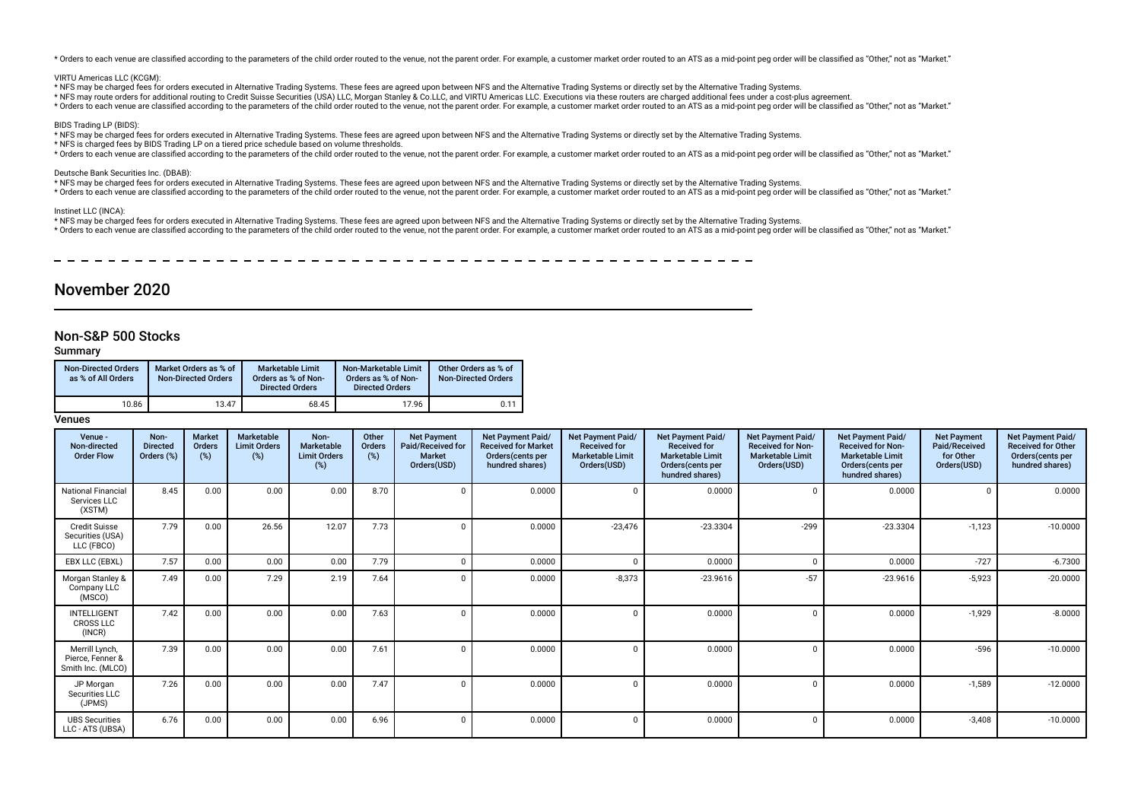\* Orders to each venue are classified according to the parameters of the child order routed to the venue, not the parent order. For example, a customer market order routed to an ATS as a mid-point peq order will be classif

#### VIRTU Americas LLC (KCGM):

- \* NFS may be charged fees for orders executed in Alternative Trading Systems. These fees are agreed upon between NFS and the Alternative Trading Systems or directly set by the Alternative Trading Systems.
- \* NFS may route orders for additional routing to Credit Suisse Securities (USA) LLC, Morgan Stanley & Co.LLC, and VIRTU Americas LLC. Executions via these routers are charged additional fees under a cost-plus agreement.
- \* Orders to each venue are classified according to the parameters of the child order routed to the venue, not the parent order. For example, a customer market order routed to an ATS as a mid-point peg order will be classif

#### BIDS Trading LP (BIDS):

\* NFS may be charged fees for orders executed in Alternative Trading Systems. These fees are agreed upon between NFS and the Alternative Trading Systems or directly set by the Alternative Trading Systems.

\* NFS is charged fees by BIDS Trading LP on a tiered price schedule based on volume thresholds.

\* Orders to each venue are classified according to the parameters of the child order routed to the venue, not the parent order. For example, a customer market order routed to an ATS as a mid-point peg order will be classif

#### Deutsche Bank Securities Inc. (DBAB):

\* NFS may be charged fees for orders executed in Alternative Trading Systems. These fees are agreed upon between NFS and the Alternative Trading Systems or directly set by the Alternative Trading Systems.

\* Orders to each venue are classified according to the parameters of the child order routed to the venue, not the parent order. For example, a customer market order routed to an ATS as a mid-point peg order will be classif

Instinet LLC (INCA):

\* NFS may be charged fees for orders executed in Alternative Trading Systems. These fees are agreed upon between NFS and the Alternative Trading Systems or directly set by the Alternative Trading Systems.

\* Orders to each venue are classified according to the parameters of the child order routed to the venue, not the parent order. For example, a customer market order routed to an ATS as a mid-point peg order will be classif

\_\_\_\_\_\_\_\_\_\_\_\_\_\_\_\_\_\_\_\_\_\_\_\_\_\_\_

# November 2020

# Non-S&P 500 Stocks

Summary

| <b>Non-Directed Orders</b><br>as % of All Orders | Market Orders as % of<br><b>Non-Directed Orders</b> | <b>Marketable Limit</b><br>Orders as % of Non-<br><b>Directed Orders</b> | Non-Marketable Limit<br>Orders as % of Non-<br><b>Directed Orders</b> | Other Orders as % of<br><b>Non-Directed Orders</b> |
|--------------------------------------------------|-----------------------------------------------------|--------------------------------------------------------------------------|-----------------------------------------------------------------------|----------------------------------------------------|
| 10.86                                            | 13.47                                               | 68.45                                                                    | 17.96                                                                 | 0.11                                               |

| Venue -<br>Non-directed<br><b>Order Flow</b>            | Non-<br><b>Directed</b><br>Orders (%) | <b>Market</b><br>Orders<br>(%) | <b>Marketable</b><br><b>Limit Orders</b><br>(%) | Non-<br>Marketable<br><b>Limit Orders</b><br>(%) | Other<br><b>Orders</b><br>$(\%)$ | <b>Net Payment</b><br>Paid/Received for<br><b>Market</b><br>Orders(USD) | Net Payment Paid/<br><b>Received for Market</b><br>Orders(cents per<br>hundred shares) | <b>Net Payment Paid/</b><br><b>Received for</b><br><b>Marketable Limit</b><br>Orders(USD) | <b>Net Payment Paid/</b><br><b>Received for</b><br><b>Marketable Limit</b><br>Orders (cents per<br>hundred shares) | Net Payment Paid/<br><b>Received for Non-</b><br><b>Marketable Limit</b><br>Orders(USD) | Net Payment Paid/<br><b>Received for Non-</b><br><b>Marketable Limit</b><br>Orders(cents per<br>hundred shares) | <b>Net Payment</b><br>Paid/Received<br>for Other<br>Orders(USD) | <b>Net Payment Paid/</b><br><b>Received for Other</b><br>Orders(cents per<br>hundred shares) |
|---------------------------------------------------------|---------------------------------------|--------------------------------|-------------------------------------------------|--------------------------------------------------|----------------------------------|-------------------------------------------------------------------------|----------------------------------------------------------------------------------------|-------------------------------------------------------------------------------------------|--------------------------------------------------------------------------------------------------------------------|-----------------------------------------------------------------------------------------|-----------------------------------------------------------------------------------------------------------------|-----------------------------------------------------------------|----------------------------------------------------------------------------------------------|
| <b>National Financial</b><br>Services LLC<br>(XSTM)     | 8.45                                  | 0.00                           | 0.00                                            | 0.00                                             | 8.70                             |                                                                         | 0.0000                                                                                 | $\mathbf{0}$                                                                              | 0.0000                                                                                                             | $\Omega$                                                                                | 0.0000                                                                                                          |                                                                 | 0.0000                                                                                       |
| <b>Credit Suisse</b><br>Securities (USA)<br>LLC (FBCO)  | 7.79                                  | 0.00                           | 26.56                                           | 12.07                                            | 7.73                             |                                                                         | 0.0000                                                                                 | $-23,476$                                                                                 | $-23.3304$                                                                                                         | $-299$                                                                                  | $-23.3304$                                                                                                      | $-1,123$                                                        | $-10.0000$                                                                                   |
| EBX LLC (EBXL)                                          | 7.57                                  | 0.00                           | 0.00                                            | 0.00                                             | 7.79                             |                                                                         | 0.0000                                                                                 | $\Omega$                                                                                  | 0.0000                                                                                                             | $\Omega$                                                                                | 0.0000                                                                                                          | $-727$                                                          | $-6.7300$                                                                                    |
| Morgan Stanley &<br>Company LLC<br>(MSCO)               | 7.49                                  | 0.00                           | 7.29                                            | 2.19                                             | 7.64                             |                                                                         | 0.0000                                                                                 | $-8,373$                                                                                  | $-23.9616$                                                                                                         | $-57$                                                                                   | $-23.9616$                                                                                                      | $-5,923$                                                        | $-20.0000$                                                                                   |
| <b>INTELLIGENT</b><br><b>CROSS LLC</b><br>(INCR)        | 7.42                                  | 0.00                           | 0.00                                            | 0.00                                             | 7.63                             |                                                                         | 0.0000                                                                                 | $\Omega$                                                                                  | 0.0000                                                                                                             | $\Omega$                                                                                | 0.0000                                                                                                          | $-1,929$                                                        | $-8.0000$                                                                                    |
| Merrill Lynch,<br>Pierce, Fenner &<br>Smith Inc. (MLCO) | 7.39                                  | 0.00                           | 0.00                                            | 0.00                                             | 7.61                             |                                                                         | 0.0000                                                                                 | $\mathbf{0}$                                                                              | 0.0000                                                                                                             | $\Omega$                                                                                | 0.0000                                                                                                          | $-596$                                                          | $-10.0000$                                                                                   |
| JP Morgan<br>Securities LLC<br>(JPMS)                   | 7.26                                  | 0.00                           | 0.00                                            | 0.00                                             | 7.47                             |                                                                         | 0.0000                                                                                 | $\Omega$                                                                                  | 0.0000                                                                                                             | $\Omega$                                                                                | 0.0000                                                                                                          | $-1,589$                                                        | $-12.0000$                                                                                   |
| <b>UBS Securities</b><br>LLC - ATS (UBSA)               | 6.76                                  | 0.00                           | 0.00                                            | 0.00                                             | 6.96                             |                                                                         | 0.0000                                                                                 | $\mathbf{0}$                                                                              | 0.0000                                                                                                             | $\Omega$                                                                                | 0.0000                                                                                                          | $-3,408$                                                        | $-10.0000$                                                                                   |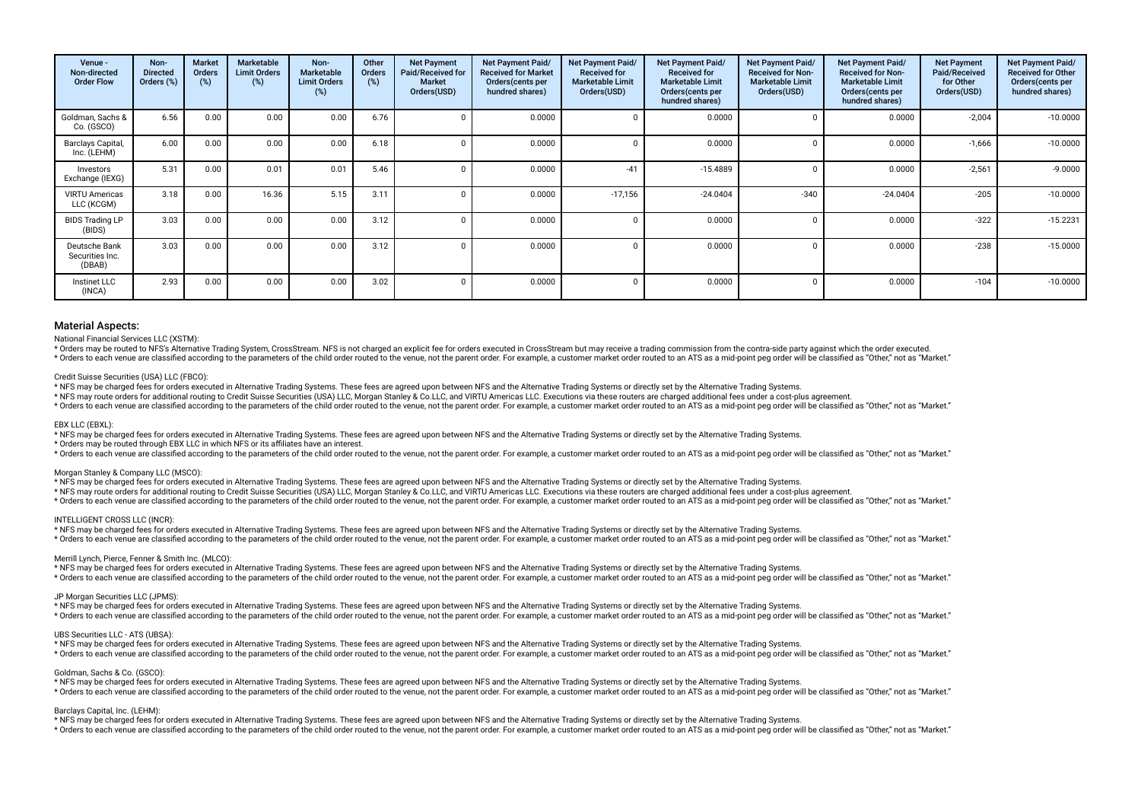| Venue -<br>Non-directed<br><b>Order Flow</b> | Non-<br><b>Directed</b><br>Orders (%) | Market<br><b>Orders</b><br>(%) | Marketable<br><b>Limit Orders</b><br>(%) | Non-<br><b>Marketable</b><br><b>Limit Orders</b><br>(%) | Other<br><b>Orders</b><br>(%) | <b>Net Payment</b><br>Paid/Received for<br><b>Market</b><br>Orders(USD) | <b>Net Payment Paid/</b><br><b>Received for Market</b><br>Orders (cents per<br>hundred shares) | <b>Net Payment Paid/</b><br><b>Received for</b><br><b>Marketable Limit</b><br>Orders(USD) | Net Payment Paid/<br><b>Received for</b><br><b>Marketable Limit</b><br>Orders(cents per<br>hundred shares) | <b>Net Payment Paid/</b><br><b>Received for Non-</b><br><b>Marketable Limit</b><br>Orders(USD) | Net Payment Paid/<br><b>Received for Non-</b><br><b>Marketable Limit</b><br>Orders(cents per<br>hundred shares) | <b>Net Payment</b><br>Paid/Received<br>for Other<br>Orders(USD) | Net Payment Paid/<br><b>Received for Other</b><br>Orders(cents per<br>hundred shares) |
|----------------------------------------------|---------------------------------------|--------------------------------|------------------------------------------|---------------------------------------------------------|-------------------------------|-------------------------------------------------------------------------|------------------------------------------------------------------------------------------------|-------------------------------------------------------------------------------------------|------------------------------------------------------------------------------------------------------------|------------------------------------------------------------------------------------------------|-----------------------------------------------------------------------------------------------------------------|-----------------------------------------------------------------|---------------------------------------------------------------------------------------|
| Goldman, Sachs &<br>Co. (GSCO)               | 6.56                                  | 0.00                           | 0.00                                     | 0.00                                                    | 6.76                          |                                                                         | 0.0000                                                                                         |                                                                                           | 0.0000                                                                                                     |                                                                                                | 0.0000                                                                                                          | $-2,004$                                                        | $-10.0000$                                                                            |
| Barclays Capital,<br>Inc. (LEHM)             | 6.00                                  | 0.00                           | 0.00                                     | 0.00                                                    | 6.18                          |                                                                         | 0.0000                                                                                         |                                                                                           | 0.0000                                                                                                     |                                                                                                | 0.0000                                                                                                          | $-1,666$                                                        | $-10.0000$                                                                            |
| Investors<br>Exchange (IEXG)                 | 5.31                                  | 0.00                           | 0.01                                     | 0.01                                                    | 5.46                          |                                                                         | 0.0000                                                                                         | $-41$                                                                                     | $-15.4889$                                                                                                 |                                                                                                | 0.0000                                                                                                          | $-2,561$                                                        | $-9.0000$                                                                             |
| <b>VIRTU Americas</b><br>LLC (KCGM)          | 3.18                                  | 0.00                           | 16.36                                    | 5.15                                                    | 3.11                          |                                                                         | 0.0000                                                                                         | $-17,156$                                                                                 | $-24.0404$                                                                                                 | $-340$                                                                                         | $-24.0404$                                                                                                      | $-205$                                                          | $-10.0000$                                                                            |
| <b>BIDS Trading LP</b><br>(BIDS)             | 3.03                                  | 0.00                           | 0.00                                     | 0.00                                                    | 3.12                          |                                                                         | 0.0000                                                                                         |                                                                                           | 0.0000                                                                                                     |                                                                                                | 0.0000                                                                                                          | $-322$                                                          | $-15.2231$                                                                            |
| Deutsche Bank<br>Securities Inc.<br>(DBAB)   | 3.03                                  | 0.00                           | 0.00                                     | 0.00                                                    | 3.12                          |                                                                         | 0.0000                                                                                         |                                                                                           | 0.0000                                                                                                     |                                                                                                | 0.0000                                                                                                          | $-238$                                                          | $-15.0000$                                                                            |
| Instinet LLC<br>(INCA)                       | 2.93                                  | 0.00                           | 0.00                                     | 0.00                                                    | 3.02                          |                                                                         | 0.0000                                                                                         |                                                                                           | 0.0000                                                                                                     | $\Omega$                                                                                       | 0.0000                                                                                                          | $-104$                                                          | $-10.0000$                                                                            |

#### National Financial Services LLC (XSTM):

\* Orders may be routed to NFS's Alternative Trading System, CrossStream. NFS is not charged an explicit fee for orders executed in CrossStream but may receive a trading commission from the contra-side party against which t

\* Orders to each venue are classified according to the parameters of the child order routed to the venue, not the parent order. For example, a customer market order routed to an ATS as a mid-point peg order will be classif

#### Credit Suisse Securities (USA) LLC (FBCO):

\* NFS may be charged fees for orders executed in Alternative Trading Systems. These fees are agreed upon between NFS and the Alternative Trading Systems or directly set by the Alternative Trading Systems.

\* NFS may route orders for additional routing to Credit Suisse Securities (USA) LLC, Morgan Stanley & Co.LLC, and VIRTU Americas LLC. Executions via these routers are charged additional fees under a cost-plus agreement.

\* Orders to each venue are classified according to the parameters of the child order routed to the venue, not the parent order. For example, a customer market order routed to an ATS as a mid-point peg order will be classif

#### EBX LLC (EBXL):

\* NFS may be charged fees for orders executed in Alternative Trading Systems. These fees are agreed upon between NFS and the Alternative Trading Systems or directly set by the Alternative Trading Systems.

\* Orders may be routed through EBX LLC in which NFS or its afliates have an interest.

\* Orders to each venue are classified according to the parameters of the child order routed to the venue, not the parent order. For example, a customer market order routed to an ATS as a mid-point peg order will be classif

#### Morgan Stanley & Company LLC (MSCO):

\* NFS may be charged fees for orders executed in Alternative Trading Systems. These fees are agreed upon between NFS and the Alternative Trading Systems or directly set by the Alternative Trading Systems.

\* NFS may route orders for additional routing to Credit Suisse Securities (USA) LLC, Morgan Stanley & Co.LLC, and VIRTU Americas LLC. Executions via these routers are charged additional fees under a cost-plus agreement.

\* Orders to each venue are classified according to the parameters of the child order routed to the venue, not the parent order. For example, a customer market order routed to an ATS as a mid-point peg order will be classif

#### INTELLIGENT CROSS LLC (INCR):

\* NFS may be charged fees for orders executed in Alternative Trading Systems. These fees are agreed upon between NFS and the Alternative Trading Systems or directly set by the Alternative Trading Systems.

\* Orders to each venue are classified according to the parameters of the child order routed to the venue, not the parent order. For example, a customer market order routed to an ATS as a mid-point peq order will be classif

#### Merrill Lynch, Pierce, Fenner & Smith Inc. (MLCO):

\* NFS may be charged fees for orders executed in Alternative Trading Systems. These fees are agreed upon between NFS and the Alternative Trading Systems or directly set by the Alternative Trading Systems.

\* Orders to each venue are classified according to the parameters of the child order routed to the venue, not the parent order. For example, a customer market order routed to an ATS as a mid-point ped order will be classif

## JP Morgan Securities LLC (JPMS):

\* NFS may be charged fees for orders executed in Alternative Trading Systems. These fees are agreed upon between NFS and the Alternative Trading Systems or directly set by the Alternative Trading Systems.

\* Orders to each venue are classified according to the parameters of the child order routed to the venue, not the parent order. For example, a customer market order routed to an ATS as a mid-point peg order will be classif

### UBS Securities LLC - ATS (UBSA):

\* NFS may be charged fees for orders executed in Alternative Trading Systems. These fees are agreed upon between NFS and the Alternative Trading Systems or directly set by the Alternative Trading Systems. \* Orders to each venue are classified according to the parameters of the child order routed to the venue, not the parent order. For example, a customer market order routed to an ATS as a mid-point ped order will be classif

#### Goldman, Sachs & Co. (GSCO):

\* NFS may be charged fees for orders executed in Alternative Trading Systems. These fees are agreed upon between NFS and the Alternative Trading Systems or directly set by the Alternative Trading Systems.

\* Orders to each venue are classified according to the parameters of the child order routed to the venue, not the parent order. For example, a customer market order routed to an ATS as a mid-point peg order will be classif

#### Barclays Capital, Inc. (LEHM):

\* NFS may be charged fees for orders executed in Alternative Trading Systems. These fees are agreed upon between NFS and the Alternative Trading Systems or directly set by the Alternative Trading Systems.

recovered to the parameters of the child order puted to the venue and the parent order. For example a customer market order puted to an ATS as a mid-point peq order will be classified as "Other" not as "Narket"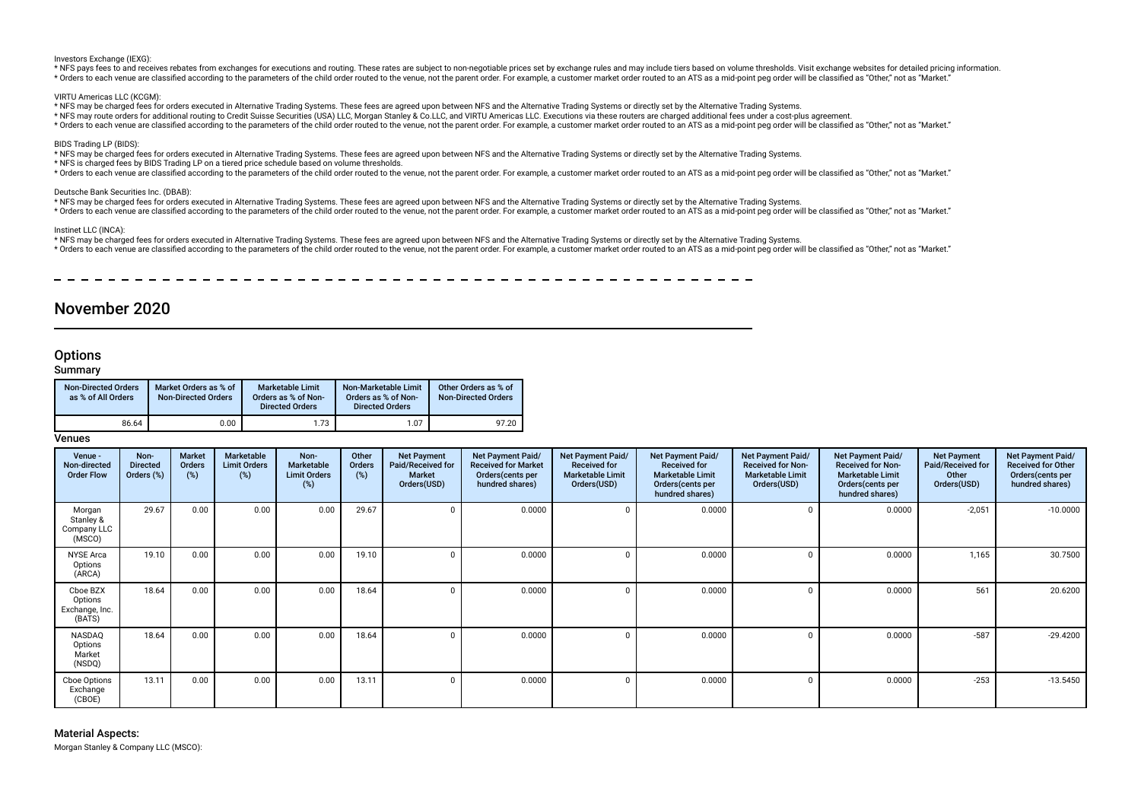Investors Exchange (IEXG):

\* NFS pays fees to and receives rebates from exchanges for executions and routing. These rates are subject to non-negotiable prices set by exchange rules and may include tiers based on volume thresholds. Visit exchange web \* Orders to each venue are classified according to the parameters of the child order routed to the venue, not the parent order. For example, a customer market order routed to an ATS as a mid-point ped order will be classif

VIRTU Americas LLC (KCGM):

- \* NFS may be charged fees for orders executed in Alternative Trading Systems. These fees are agreed upon between NFS and the Alternative Trading Systems or directly set by the Alternative Trading Systems.
- \* NFS may route orders for additional routing to Credit Suisse Securities (USA) LLC, Morgan Stanley & Co.LLC, and VIRTU Americas LLC. Executions via these routers are charged additional fees under a cost-plus agreement.
- \* Orders to each venue are classified according to the parameters of the child order routed to the venue. not the parent order. For example, a customer market order routed to an ATS as a mid-point peg order will be classif

#### BIDS Trading LP (BIDS):

\* NFS may be charged fees for orders executed in Alternative Trading Systems. These fees are agreed upon between NFS and the Alternative Trading Systems or directly set by the Alternative Trading Systems.

- \* NFS is charged fees by BIDS Trading LP on a tiered price schedule based on volume thresholds.
- \* Orders to each venue are classified according to the parameters of the child order routed to the venue, not the parent order. For example, a customer market order routed to an ATS as a mid-point ped order poil be classif

#### Deutsche Bank Securities Inc. (DBAB):

- \* NFS may be charged fees for orders executed in Alternative Trading Systems. These fees are agreed upon between NFS and the Alternative Trading Systems or directly set by the Alternative Trading Systems.
- \* Orders to each venue are classified according to the parameters of the child order routed to the venue, not the parent order. For example, a customer market order routed to an ATS as a mid-point peq order will be classif

#### Instinet LLC (INCA):

- \* NFS may be charged fees for orders executed in Alternative Trading Systems. These fees are agreed upon between NFS and the Alternative Trading Systems or directly set by the Alternative Trading Systems.
- \* Orders to each venue are classified according to the parameters of the child order routed to the venue, not the parent order. For example, a customer market order routed to an ATS as a mid-point peq order will be classif

# November 2020

# **Options**

# **Summary**

| <b>Non-Directed Orders</b><br>as % of All Orders | Market Orders as % of<br><b>Non-Directed Orders</b> | <b>Marketable Limit</b><br>Orders as % of Non-<br><b>Directed Orders</b> | Non-Marketable Limit<br>Orders as % of Non-<br><b>Directed Orders</b> | Other Orders as % of<br><b>Non-Directed Orders</b> |
|--------------------------------------------------|-----------------------------------------------------|--------------------------------------------------------------------------|-----------------------------------------------------------------------|----------------------------------------------------|
| 86.64                                            | 0.00                                                | 1.73                                                                     | 1.07                                                                  | 97.20                                              |

# Venues

| Venue -<br>Non-directed<br><b>Order Flow</b>    | Non-<br><b>Directed</b><br>Orders (%) | Market<br><b>Orders</b><br>$(\%)$ | Marketable<br><b>Limit Orders</b><br>(%) | Non-<br>Marketable<br><b>Limit Orders</b><br>(%) | Other<br>Orders<br>(%) | <b>Net Payment</b><br>Paid/Received for<br><b>Market</b><br>Orders(USD) | Net Payment Paid/<br><b>Received for Market</b><br>Orders(cents per<br>hundred shares) | Net Payment Paid/<br><b>Received for</b><br><b>Marketable Limit</b><br>Orders(USD) | Net Payment Paid/<br><b>Received for</b><br><b>Marketable Limit</b><br>Orders(cents per<br>hundred shares) | Net Payment Paid/<br><b>Received for Non-</b><br><b>Marketable Limit</b><br>Orders(USD) | <b>Net Payment Paid/</b><br><b>Received for Non-</b><br><b>Marketable Limit</b><br>Orders(cents per<br>hundred shares) | <b>Net Payment</b><br><b>Paid/Received for</b><br>Other<br>Orders(USD) | Net Payment Paid/<br><b>Received for Other</b><br>Orders(cents per<br>hundred shares) |
|-------------------------------------------------|---------------------------------------|-----------------------------------|------------------------------------------|--------------------------------------------------|------------------------|-------------------------------------------------------------------------|----------------------------------------------------------------------------------------|------------------------------------------------------------------------------------|------------------------------------------------------------------------------------------------------------|-----------------------------------------------------------------------------------------|------------------------------------------------------------------------------------------------------------------------|------------------------------------------------------------------------|---------------------------------------------------------------------------------------|
| Morgan<br>Stanley &<br>Company LLC<br>(MSCO)    | 29.67                                 | 0.00                              | 0.00                                     | 0.00                                             | 29.67                  |                                                                         | 0.0000                                                                                 | $\Omega$                                                                           | 0.0000                                                                                                     |                                                                                         | 0.0000                                                                                                                 | $-2,051$                                                               | $-10.0000$                                                                            |
| <b>NYSE Arca</b><br>Options<br>(ARCA)           | 19.10                                 | 0.00                              | 0.00                                     | 0.00                                             | 19.10                  |                                                                         | 0.0000                                                                                 | $\Omega$                                                                           | 0.0000                                                                                                     |                                                                                         | 0.0000                                                                                                                 | 1,165                                                                  | 30.7500                                                                               |
| Cboe BZX<br>Options<br>Exchange, Inc.<br>(BATS) | 18.64                                 | 0.00                              | 0.00                                     | 0.00                                             | 18.64                  |                                                                         | 0.0000                                                                                 | $\Omega$                                                                           | 0.0000                                                                                                     |                                                                                         | 0.0000                                                                                                                 | 561                                                                    | 20.6200                                                                               |
| NASDAQ<br>Options<br>Market<br>(NSDQ)           | 18.64                                 | 0.00                              | 0.00                                     | 0.00                                             | 18.64                  |                                                                         | 0.0000                                                                                 | $\Omega$                                                                           | 0.0000                                                                                                     |                                                                                         | 0.0000                                                                                                                 | $-587$                                                                 | $-29.4200$                                                                            |
| Cboe Options<br>Exchange<br>(CBOE)              | 13.11                                 | 0.00                              | 0.00                                     | 0.00                                             | 13.11                  |                                                                         | 0.0000                                                                                 | $\Omega$                                                                           | 0.0000                                                                                                     |                                                                                         | 0.0000                                                                                                                 | $-253$                                                                 | $-13.5450$                                                                            |

Material Aspects: Morgan Stanley & Company LLC (MSCO):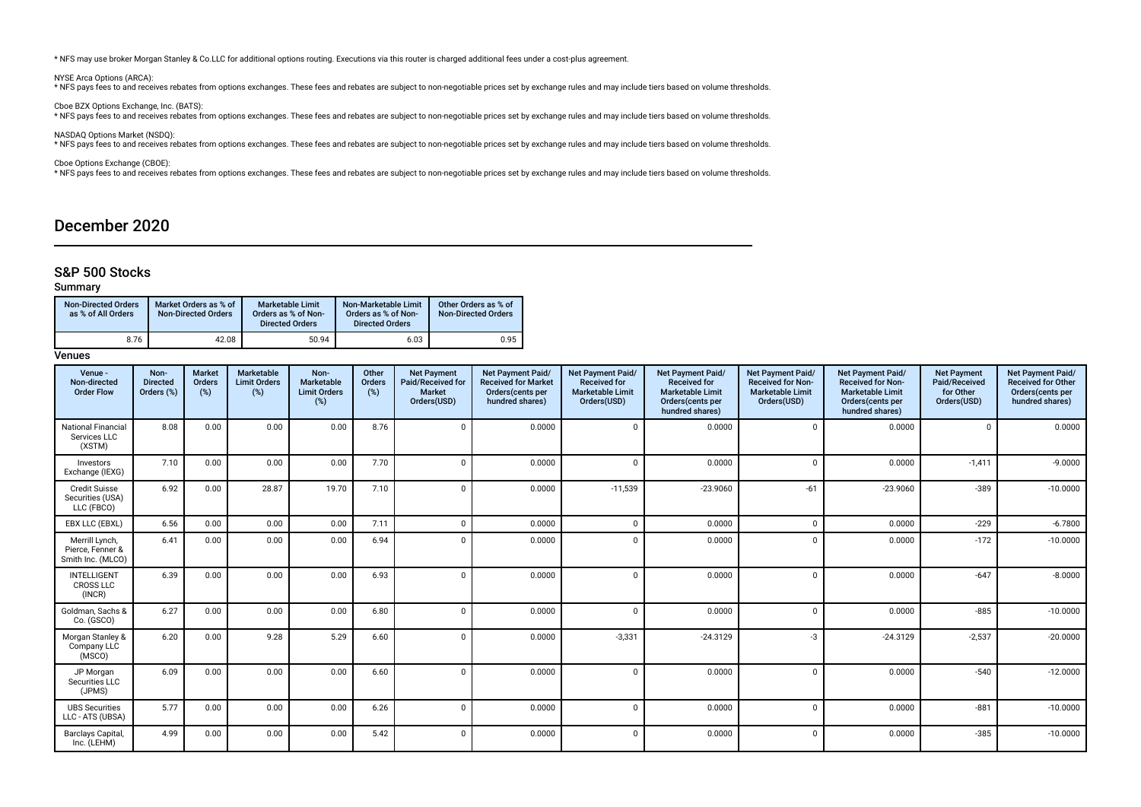\* NFS may use broker Morgan Stanley & Co.LLC for additional options routing. Executions via this router is charged additional fees under a cost-plus agreement.

NYSE Arca Options (ARCA):

\* NFS pays fees to and receives rebates from options exchanges. These fees and rebates are subject to non-negotiable prices set by exchange rules and may include tiers based on volume thresholds.

Cboe BZX Options Exchange, Inc. (BATS): \* NFS pays fees to and receives rebates from options exchanges. These fees and rebates are subject to non-negotiable prices set by exchange rules and may include tiers based on volume thresholds.

NASDAQ Options Market (NSDQ):<br>\* NFS pays fees to and receives rebates from options exchanges. These fees and rebates are subject to non-negotiable prices set by exchange rules and may include tiers based on volume threshol

Cboe Options Exchange (CBOE):

\* NFS pays fees to and receives rebates from options exchanges. These fees and rebates are subject to non-negotiable prices set by exchange rules and may include tiers based on volume thresholds.

# December 2020

# S&P 500 Stocks

# Summary

| <b>Non-Directed Orders</b><br>as % of All Orders | Market Orders as % of<br><b>Non-Directed Orders</b> | <b>Marketable Limit</b><br>Orders as % of Non-<br><b>Directed Orders</b> | Non-Marketable Limit<br>Orders as % of Non-<br><b>Directed Orders</b> | Other Orders as % of<br><b>Non-Directed Orders</b> |
|--------------------------------------------------|-----------------------------------------------------|--------------------------------------------------------------------------|-----------------------------------------------------------------------|----------------------------------------------------|
| 8.76                                             | 42.08                                               | 50.94                                                                    | 6.03                                                                  | 0.95                                               |

| Venue -<br>Non-directed<br><b>Order Flow</b>            | Non-<br><b>Directed</b><br>Orders (%) | <b>Market</b><br>Orders<br>(%) | Marketable<br><b>Limit Orders</b><br>(%) | Non-<br>Marketable<br><b>Limit Orders</b><br>(%) | Other<br>Orders<br>(%) | <b>Net Payment</b><br>Paid/Received for<br>Market<br>Orders(USD) | <b>Net Payment Paid/</b><br><b>Received for Market</b><br>Orders(cents per<br>hundred shares) | <b>Net Payment Paid/</b><br><b>Received for</b><br><b>Marketable Limit</b><br>Orders(USD) | Net Payment Paid/<br><b>Received for</b><br><b>Marketable Limit</b><br>Orders(cents per<br>hundred shares) | <b>Net Payment Paid/</b><br><b>Received for Non-</b><br><b>Marketable Limit</b><br>Orders(USD) | <b>Net Payment Paid/</b><br><b>Received for Non-</b><br><b>Marketable Limit</b><br>Orders(cents per<br>hundred shares) | <b>Net Payment</b><br>Paid/Received<br>for Other<br>Orders(USD) | Net Payment Paid/<br><b>Received for Other</b><br>Orders(cents per<br>hundred shares) |
|---------------------------------------------------------|---------------------------------------|--------------------------------|------------------------------------------|--------------------------------------------------|------------------------|------------------------------------------------------------------|-----------------------------------------------------------------------------------------------|-------------------------------------------------------------------------------------------|------------------------------------------------------------------------------------------------------------|------------------------------------------------------------------------------------------------|------------------------------------------------------------------------------------------------------------------------|-----------------------------------------------------------------|---------------------------------------------------------------------------------------|
| <b>National Financial</b><br>Services LLC<br>(XSTM)     | 8.08                                  | 0.00                           | 0.00                                     | 0.00                                             | 8.76                   | $\mathbf 0$                                                      | 0.0000                                                                                        | $\Omega$                                                                                  | 0.0000                                                                                                     | $\mathbf 0$                                                                                    | 0.0000                                                                                                                 | $\Omega$                                                        | 0.0000                                                                                |
| Investors<br>Exchange (IEXG)                            | 7.10                                  | 0.00                           | 0.00                                     | 0.00                                             | 7.70                   | $\mathbf{0}$                                                     | 0.0000                                                                                        | $\Omega$                                                                                  | 0.0000                                                                                                     | $\mathbf 0$                                                                                    | 0.0000                                                                                                                 | $-1,411$                                                        | $-9.0000$                                                                             |
| <b>Credit Suisse</b><br>Securities (USA)<br>LLC (FBCO)  | 6.92                                  | 0.00                           | 28.87                                    | 19.70                                            | 7.10                   | $\Omega$                                                         | 0.0000                                                                                        | $-11,539$                                                                                 | $-23.9060$                                                                                                 | $-61$                                                                                          | $-23.9060$                                                                                                             | $-389$                                                          | $-10.0000$                                                                            |
| EBX LLC (EBXL)                                          | 6.56                                  | 0.00                           | 0.00                                     | 0.00                                             | 7.11                   | $\Omega$                                                         | 0.0000                                                                                        | $\Omega$                                                                                  | 0.0000                                                                                                     | $\Omega$                                                                                       | 0.0000                                                                                                                 | $-229$                                                          | $-6.7800$                                                                             |
| Merrill Lynch,<br>Pierce, Fenner &<br>Smith Inc. (MLCO) | 6.41                                  | 0.00                           | 0.00                                     | 0.00                                             | 6.94                   | $\Omega$                                                         | 0.0000                                                                                        | $\Omega$                                                                                  | 0.0000                                                                                                     | $\Omega$                                                                                       | 0.0000                                                                                                                 | $-172$                                                          | $-10.0000$                                                                            |
| <b>INTELLIGENT</b><br><b>CROSS LLC</b><br>(INCR)        | 6.39                                  | 0.00                           | 0.00                                     | 0.00                                             | 6.93                   | $\Omega$                                                         | 0.0000                                                                                        | $\Omega$                                                                                  | 0.0000                                                                                                     | $\mathbf 0$                                                                                    | 0.0000                                                                                                                 | $-647$                                                          | $-8.0000$                                                                             |
| Goldman, Sachs &<br>Co. (GSCO)                          | 6.27                                  | 0.00                           | 0.00                                     | 0.00                                             | 6.80                   | $\Omega$                                                         | 0.0000                                                                                        | $\Omega$                                                                                  | 0.0000                                                                                                     | $\mathbf 0$                                                                                    | 0.0000                                                                                                                 | $-885$                                                          | $-10.0000$                                                                            |
| Morgan Stanley &<br>Company LLC<br>(MSCO)               | 6.20                                  | 0.00                           | 9.28                                     | 5.29                                             | 6.60                   | $\Omega$                                                         | 0.0000                                                                                        | $-3,331$                                                                                  | $-24.3129$                                                                                                 | $-3$                                                                                           | $-24.3129$                                                                                                             | $-2,537$                                                        | $-20.0000$                                                                            |
| JP Morgan<br>Securities LLC<br>(JPMS)                   | 6.09                                  | 0.00                           | 0.00                                     | 0.00                                             | 6.60                   | $\Omega$                                                         | 0.0000                                                                                        | $\Omega$                                                                                  | 0.0000                                                                                                     | $\mathbf 0$                                                                                    | 0.0000                                                                                                                 | $-540$                                                          | $-12.0000$                                                                            |
| <b>UBS Securities</b><br>LLC - ATS (UBSA)               | 5.77                                  | 0.00                           | 0.00                                     | 0.00                                             | 6.26                   | $\Omega$                                                         | 0.0000                                                                                        | $\Omega$                                                                                  | 0.0000                                                                                                     | $\Omega$                                                                                       | 0.0000                                                                                                                 | $-881$                                                          | $-10.0000$                                                                            |
| Barclays Capital,<br>Inc. (LEHM)                        | 4.99                                  | 0.00                           | 0.00                                     | 0.00                                             | 5.42                   | $\mathbf 0$                                                      | 0.0000                                                                                        | $\Omega$                                                                                  | 0.0000                                                                                                     | $\Omega$                                                                                       | 0.0000                                                                                                                 | $-385$                                                          | $-10.0000$                                                                            |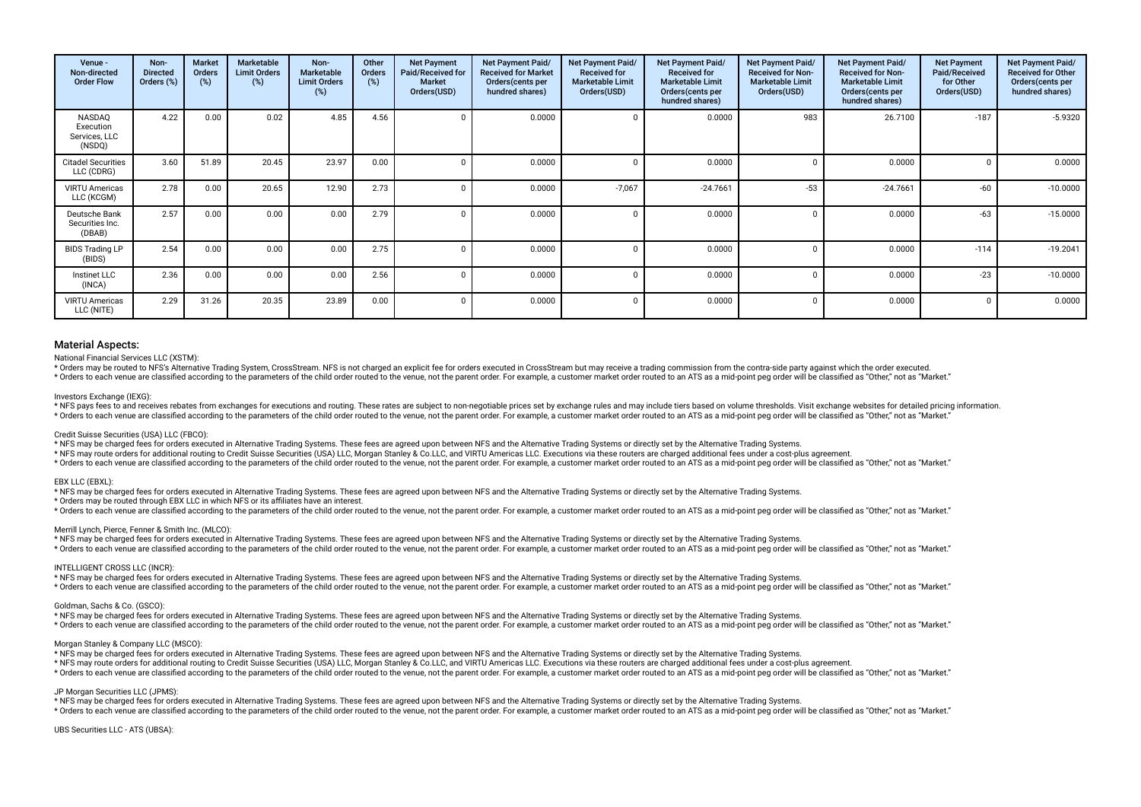| Venue -<br>Non-directed<br><b>Order Flow</b>   | Non-<br><b>Directed</b><br>Orders (%) | Market<br>Orders<br>$(\%)$ | Marketable<br><b>Limit Orders</b><br>(%) | Non-<br><b>Marketable</b><br><b>Limit Orders</b><br>(%) | Other<br>Orders<br>(%) | <b>Net Payment</b><br>Paid/Received for<br><b>Market</b><br>Orders(USD) | Net Payment Paid/<br><b>Received for Market</b><br>Orders (cents per<br>hundred shares) | Net Payment Paid/<br><b>Received for</b><br><b>Marketable Limit</b><br>Orders(USD) | Net Payment Paid/<br><b>Received for</b><br><b>Marketable Limit</b><br>Orders(cents per<br>hundred shares) | Net Payment Paid/<br><b>Received for Non-</b><br><b>Marketable Limit</b><br>Orders(USD) | Net Payment Paid/<br><b>Received for Non-</b><br><b>Marketable Limit</b><br>Orders(cents per<br>hundred shares) | <b>Net Payment</b><br>Paid/Received<br>for Other<br>Orders(USD) | Net Payment Paid/<br><b>Received for Other</b><br>Orders(cents per<br>hundred shares) |
|------------------------------------------------|---------------------------------------|----------------------------|------------------------------------------|---------------------------------------------------------|------------------------|-------------------------------------------------------------------------|-----------------------------------------------------------------------------------------|------------------------------------------------------------------------------------|------------------------------------------------------------------------------------------------------------|-----------------------------------------------------------------------------------------|-----------------------------------------------------------------------------------------------------------------|-----------------------------------------------------------------|---------------------------------------------------------------------------------------|
| NASDAQ<br>Execution<br>Services, LLC<br>(NSDQ) | 4.22                                  | 0.00                       | 0.02                                     | 4.85                                                    | 4.56                   |                                                                         | 0.0000                                                                                  |                                                                                    | 0.0000                                                                                                     | 983                                                                                     | 26.7100                                                                                                         | $-187$                                                          | $-5.9320$                                                                             |
| <b>Citadel Securities</b><br>LLC (CDRG)        | 3.60                                  | 51.89                      | 20.45                                    | 23.97                                                   | 0.00                   |                                                                         | 0.0000                                                                                  |                                                                                    | 0.0000                                                                                                     |                                                                                         | 0.0000                                                                                                          |                                                                 | 0.0000                                                                                |
| <b>VIRTU Americas</b><br>LLC (KCGM)            | 2.78                                  | 0.00                       | 20.65                                    | 12.90                                                   | 2.73                   |                                                                         | 0.0000                                                                                  | $-7,067$                                                                           | $-24.7661$                                                                                                 | $-53$                                                                                   | $-24.7661$                                                                                                      | $-60$                                                           | $-10.0000$                                                                            |
| Deutsche Bank<br>Securities Inc.<br>(DBAB)     | 2.57                                  | 0.00                       | 0.00                                     | 0.00                                                    | 2.79                   |                                                                         | 0.0000                                                                                  |                                                                                    | 0.0000                                                                                                     | $\Omega$                                                                                | 0.0000                                                                                                          | $-63$                                                           | $-15.0000$                                                                            |
| <b>BIDS Trading LP</b><br>(BIDS)               | 2.54                                  | 0.00                       | 0.00                                     | 0.00                                                    | 2.75                   |                                                                         | 0.0000                                                                                  |                                                                                    | 0.0000                                                                                                     | $\Omega$                                                                                | 0.0000                                                                                                          | $-114$                                                          | $-19.2041$                                                                            |
| Instinet LLC<br>(INCA)                         | 2.36                                  | 0.00                       | 0.00                                     | 0.00                                                    | 2.56                   |                                                                         | 0.0000                                                                                  | $\Omega$                                                                           | 0.0000                                                                                                     | $\Omega$                                                                                | 0.0000                                                                                                          | $-23$                                                           | $-10.0000$                                                                            |
| <b>VIRTU Americas</b><br>LLC (NITE)            | 2.29                                  | 31.26                      | 20.35                                    | 23.89                                                   | 0.00                   |                                                                         | 0.0000                                                                                  |                                                                                    | 0.0000                                                                                                     | $\Omega$                                                                                | 0.0000                                                                                                          |                                                                 | 0.0000                                                                                |

#### National Financial Services LLC (XSTM):

\* Orders may be routed to NFS's Alternative Trading System. CrossStream, NFS is not charged an explicit fee for orders executed in CrossStream but may receive a trading commission from the contra-side party against which t \* Orders to each venue are classified according to the parameters of the child order routed to the yenue not the narent order. For example a customer market order routed to an ATS as a mid-point peq order will be classifie

Investors Exchange (IEXG):

\* NFS pays fees to and receives rebates from exchanges for executions and routing. These rates are subject to non-negotiable prices set by exchange rules and may include tiers based on volume thresholds. Visit exchange web \* Orders to each venue are classified according to the parameters of the child order routed to the venue, not the parent order. For example, a customer market order routed to an ATS as a mid-point peg order will be classif

#### Credit Suisse Securities (USA) LLC (FBCO):

\* NFS may be charged fees for orders executed in Alternative Trading Systems. These fees are agreed upon between NFS and the Alternative Trading Systems or directly set by the Alternative Trading Systems.

\* NFS may route orders for additional routing to Credit Suisse Securities (USA) LLC, Morgan Stanley & Co.LLC, and VIRTU Americas LLC. Executions via these routers are charged additional fees under a cost-plus agreement.

\* Orders to each venue are classified according to the parameters of the child order routed to the venue, not the parent order. For example, a customer market order routed to an ATS as a mid-point peg order will be classif

### EBX LLC (EBXL):

\* NFS may be charged fees for orders executed in Alternative Trading Systems. These fees are agreed upon between NFS and the Alternative Trading Systems or directly set by the Alternative Trading Systems.

\* Orders may be routed through EBX LLC in which NFS or its afliates have an interest.

\* Orders to each venue are classified according to the parameters of the child order routed to the venue, not the parent order. For example, a customer market order routed to an ATS as a mid-point peg order will be classif

#### Merrill Lynch, Pierce, Fenner & Smith Inc. (MLCO):

\* NFS may be charged fees for orders executed in Alternative Trading Systems. These fees are agreed upon between NFS and the Alternative Trading Systems or directly set by the Alternative Trading Systems. \* Orders to each venue are classified according to the parameters of the child order routed to the venue, not the parent order. For example, a customer market order routed to an ATS as a mid-point peg order will be classif

### INTELLIGENT CROSS LLC (INCR):

\* NFS may be charged fees for orders executed in Alternative Trading Systems. These fees are agreed upon between NFS and the Alternative Trading Systems or directly set by the Alternative Trading Systems. \* Orders to each venue are classified according to the parameters of the child order routed to the venue, not the parent order. For example, a customer market order routed to an ATS as a mid-point peq order will be classif

#### Goldman, Sachs & Co. (GSCO):

\* NFS may be charged fees for orders executed in Alternative Trading Systems. These fees are agreed upon between NFS and the Alternative Trading Systems or directly set by the Alternative Trading Systems. \* Orders to each venue are classified according to the parameters of the child order routed to the venue, not the parent order. For example, a customer market order routed to an ATS as a mid-point peq order will be classif

#### Morgan Stanley & Company LLC (MSCO):

\* NFS may be charged fees for orders executed in Alternative Trading Systems. These fees are agreed upon between NFS and the Alternative Trading Systems or directly set by the Alternative Trading Systems.

\* NFS may route orders for additional routing to Credit Suisse Securities (USA) LLC, Morgan Stanley & Co.LLC, and VIRTU Americas LLC. Executions via these routers are charged additional fees under a cost-plus agreement.

\* Orders to each venue are classified according to the parameters of the child order routed to the venue, not the parent order. For example, a customer market order routed to an ATS as a mid-point peg order will be classif

# JP Morgan Securities LLC (JPMS):

\* NFS may be charged fees for orders executed in Alternative Trading Systems. These fees are agreed upon between NFS and the Alternative Trading Systems or directly set by the Alternative Trading Systems.

\* Orders to each venue are classified according to the parameters of the child order routed to the venue, not the parent order. For example, a customer market order routed to an ATS as a mid-point peg order will be classif

UBS Securities LLC - ATS (UBSA):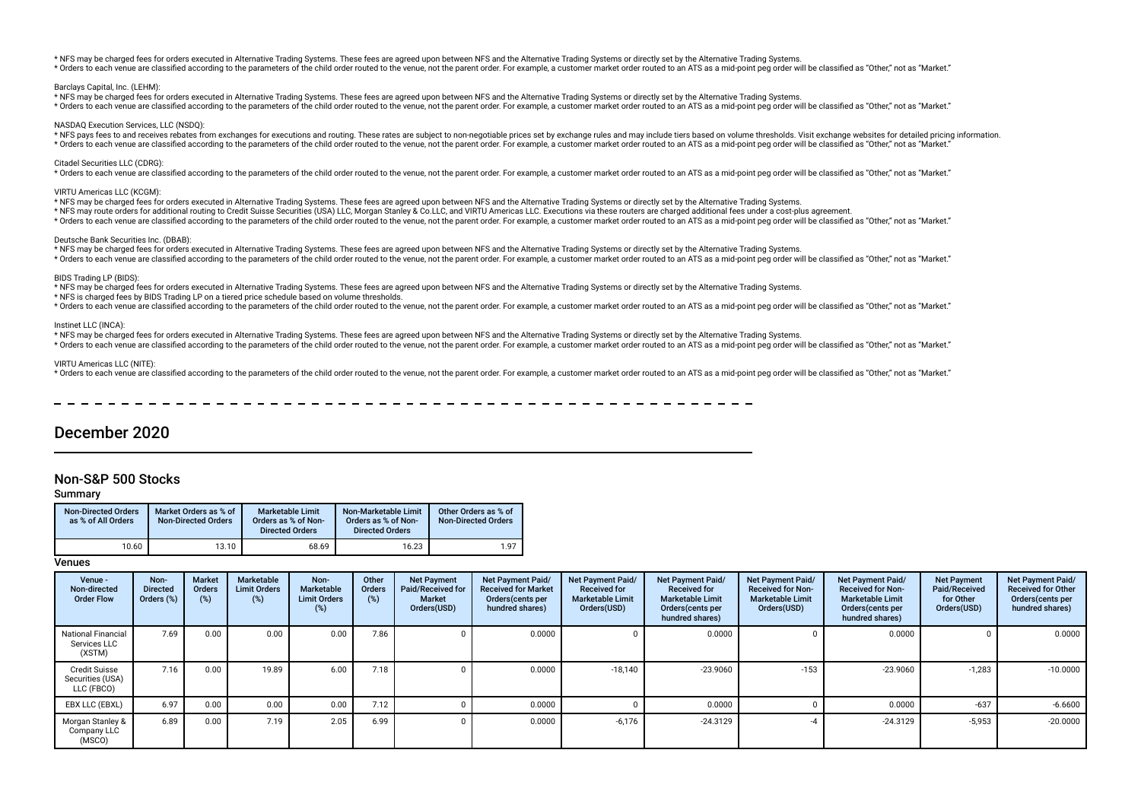\* NFS may be charged fees for orders executed in Alternative Trading Systems. These fees are agreed upon between NFS and the Alternative Trading Systems or directly set by the Alternative Trading Systems. \* Orders to each venue are classified according to the parameters of the child order routed to the venue, not the parent order. For example, a customer market order routed to an ATS as a mid-point peq order will be classif

#### Barclays Capital, Inc. (LEHM):

\* NFS may be charged fees for orders executed in Alternative Trading Systems. These fees are agreed upon between NFS and the Alternative Trading Systems or directly set by the Alternative Trading Systems.

\* Orders to each venue are classified according to the parameters of the child order routed to the venue, not the parent order. For example, a customer market order routed to an ATS as a mid-point peg order will be classif

## NASDAQ Execution Services, LLC (NSDQ):

\* NFS pays fees to and receives rebates from exchanges for executions and routing. These rates are subject to non-negotiable prices set by exchange rules and may include tiers based on yolume thresholds. Visit exchange web \* Orders to each venue are classified according to the parameters of the child order routed to the venue, not the parent order. For example, a customer market order routed to an ATS as a mid-point peq order will be classif

#### Citadel Securities LLC (CDRG):

\* Orders to each venue are classified according to the parameters of the child order routed to the venue, not the parent order. For example, a customer market order routed to an ATS as a mid-point ped order will be classif

#### VIRTU Americas LLC (KCGM):

- \* NFS may be charged fees for orders executed in Alternative Trading Systems. These fees are agreed upon between NFS and the Alternative Trading Systems or directly set by the Alternative Trading Systems.
- \* NFS may route orders for additional routing to Credit Suisse Securities (USA) LLC, Morgan Stanley & Co.LLC, and VIRTU Americas LLC. Executions via these routers are charged additional fees under a cost-plus agreement.
- \* Orders to each venue are classified according to the parameters of the child order routed to the venue, not the parent order. For example, a customer market order routed to an ATS as a mid-point peg order will be classif

#### Deutsche Bank Securities Inc. (DBAB):

\* NFS may be charged fees for orders executed in Alternative Trading Systems. These fees are agreed upon between NFS and the Alternative Trading Systems or directly set by the Alternative Trading Systems.

\* Orders to each venue are classified according to the parameters of the child order routed to the venue, not the parent order. For example, a customer market order routed to an ATS as a mid-point peq order will be classif

### BIDS Trading LP (BIDS):

\* NFS may be charged fees for orders executed in Alternative Trading Systems. These fees are agreed upon between NFS and the Alternative Trading Systems or directly set by the Alternative Trading Systems.

\* NFS is charged fees by BIDS Trading LP on a tiered price schedule based on volume thresholds.

\* Orders to each venue are classified according to the parameters of the child order routed to the venue, not the parent order. For example, a customer market order routed to an ATS as a mid-point peg order will be classif

#### Instinet LLC (INCA):

\* NFS may be charged fees for orders executed in Alternative Trading Systems. These fees are agreed upon between NFS and the Alternative Trading Systems or directly set by the Alternative Trading Systems.

\* Orders to each venue are classified according to the parameters of the child order routed to the venue, not the parent order. For example, a customer market order routed to an ATS as a mid-point peg order will be classif

### VIRTU Americas LLC (NITE):

\* Orders to each venue are classified according to the parameters of the child order routed to the venue, not the parent order. For example, a customer market order routed to an ATS as a mid-point ped order will be classif

# December 2020

# Non-S&P 500 Stocks

## Summary

| <b>Non-Directed Orders</b><br>as % of All Orders | Market Orders as % of<br><b>Non-Directed Orders</b> | <b>Marketable Limit</b><br>Orders as % of Non-<br><b>Directed Orders</b> | Non-Marketable Limit<br>Orders as % of Non-<br><b>Directed Orders</b> | Other Orders as % of<br><b>Non-Directed Orders</b> |
|--------------------------------------------------|-----------------------------------------------------|--------------------------------------------------------------------------|-----------------------------------------------------------------------|----------------------------------------------------|
| 10.60                                            | 13.10                                               | 68.69                                                                    | 16.23                                                                 | 1.97                                               |

| Venue -<br>Non-directed<br><b>Order Flow</b>           | Non-<br><b>Directed</b><br>Orders (%) | <b>Market</b><br><b>Orders</b><br>(%) | Marketable<br><b>Limit Orders</b><br>(%) | Non-<br>Marketable<br><b>Limit Orders</b><br>(%) | Other<br><b>Orders</b><br>(%) | <b>Net Payment</b><br>Paid/Received for<br><b>Market</b><br>Orders(USD) | <b>Net Payment Paid/</b><br><b>Received for Market</b><br>Orders (cents per<br>hundred shares) | Net Payment Paid/<br><b>Received for</b><br><b>Marketable Limit</b><br>Orders(USD) | <b>Net Payment Paid/</b><br><b>Received for</b><br><b>Marketable Limit</b><br>Orders (cents per<br>hundred shares) | <b>Net Payment Paid/</b><br><b>Received for Non-</b><br><b>Marketable Limit</b><br>Orders(USD) | <b>Net Payment Paid/</b><br><b>Received for Non-</b><br><b>Marketable Limit</b><br>Orders (cents per<br>hundred shares) | <b>Net Payment</b><br>Paid/Received<br>for Other<br>Orders(USD) | <b>Net Payment Paid/</b><br><b>Received for Other</b><br>Orders (cents per<br>hundred shares) |
|--------------------------------------------------------|---------------------------------------|---------------------------------------|------------------------------------------|--------------------------------------------------|-------------------------------|-------------------------------------------------------------------------|------------------------------------------------------------------------------------------------|------------------------------------------------------------------------------------|--------------------------------------------------------------------------------------------------------------------|------------------------------------------------------------------------------------------------|-------------------------------------------------------------------------------------------------------------------------|-----------------------------------------------------------------|-----------------------------------------------------------------------------------------------|
| <b>National Financial</b><br>Services LLC<br>(XSTM)    | 7.69                                  | 0.00                                  | 0.00                                     | 0.00                                             | 7.86                          |                                                                         | 0.0000                                                                                         |                                                                                    | 0.0000                                                                                                             |                                                                                                | 0.0000                                                                                                                  |                                                                 | 0.0000                                                                                        |
| <b>Credit Suisse</b><br>Securities (USA)<br>LLC (FBCO) | 7.16                                  | 0.00                                  | 19.89                                    | 6.00                                             | 7.18                          |                                                                         | 0.0000                                                                                         | $-18,140$                                                                          | $-23.9060$                                                                                                         | $-153$                                                                                         | $-23.9060$                                                                                                              | $-1,283$                                                        | $-10.0000$                                                                                    |
| EBX LLC (EBXL)                                         | 6.97                                  | 0.00                                  | 0.00                                     | 0.00                                             | 7.12                          |                                                                         | 0.0000                                                                                         |                                                                                    | 0.0000                                                                                                             |                                                                                                | 0.0000                                                                                                                  | $-637$                                                          | $-6.6600$                                                                                     |
| Morgan Stanley &<br>Company LLC<br>(MSCO)              | 6.89                                  | 0.00                                  | 7.19                                     | 2.05                                             | 6.99                          |                                                                         | 0.0000                                                                                         | $-6,176$                                                                           | $-24.3129$                                                                                                         |                                                                                                | $-24.3129$                                                                                                              | $-5,953$                                                        | $-20.0000$                                                                                    |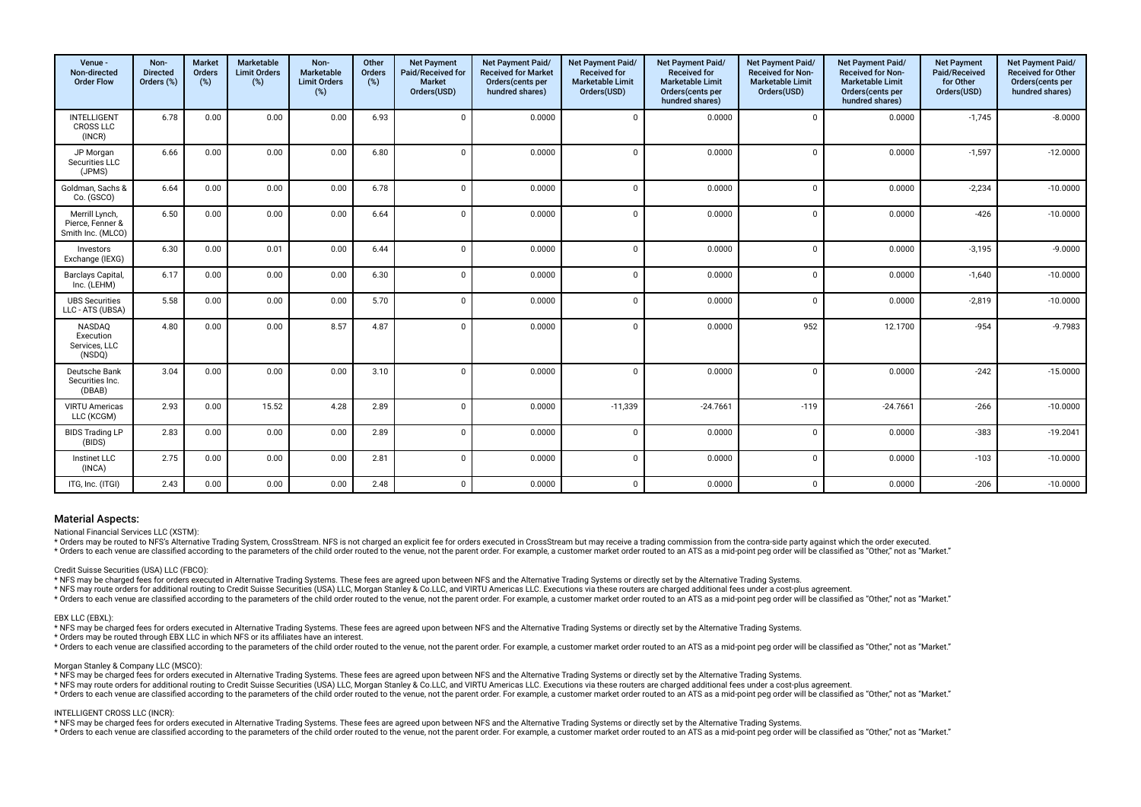| Venue -<br>Non-directed<br><b>Order Flow</b>            | Non-<br><b>Directed</b><br>Orders (%) | <b>Market</b><br><b>Orders</b><br>(%) | Marketable<br><b>Limit Orders</b><br>(%) | Non-<br>Marketable<br><b>Limit Orders</b><br>(%) | Other<br>Orders<br>(%) | <b>Net Payment</b><br>Paid/Received for<br><b>Market</b><br>Orders(USD) | Net Payment Paid/<br><b>Received for Market</b><br>Orders (cents per<br>hundred shares) | Net Payment Paid/<br><b>Received for</b><br><b>Marketable Limit</b><br>Orders(USD) | Net Payment Paid/<br><b>Received for</b><br><b>Marketable Limit</b><br>Orders(cents per<br>hundred shares) | Net Payment Paid/<br>Received for Non-<br><b>Marketable Limit</b><br>Orders(USD) | Net Payment Paid/<br>Received for Non-<br><b>Marketable Limit</b><br>Orders(cents per<br>hundred shares) | <b>Net Payment</b><br>Paid/Received<br>for Other<br>Orders(USD) | Net Payment Paid/<br>Received for Other<br>Orders(cents per<br>hundred shares) |
|---------------------------------------------------------|---------------------------------------|---------------------------------------|------------------------------------------|--------------------------------------------------|------------------------|-------------------------------------------------------------------------|-----------------------------------------------------------------------------------------|------------------------------------------------------------------------------------|------------------------------------------------------------------------------------------------------------|----------------------------------------------------------------------------------|----------------------------------------------------------------------------------------------------------|-----------------------------------------------------------------|--------------------------------------------------------------------------------|
| <b>INTELLIGENT</b><br><b>CROSS LLC</b><br>(INCR)        | 6.78                                  | 0.00                                  | 0.00                                     | 0.00                                             | 6.93                   | $\Omega$                                                                | 0.0000                                                                                  | $\mathbf{0}$                                                                       | 0.0000                                                                                                     | $\Omega$                                                                         | 0.0000                                                                                                   | $-1,745$                                                        | $-8.0000$                                                                      |
| JP Morgan<br>Securities LLC<br>(JPMS)                   | 6.66                                  | 0.00                                  | 0.00                                     | 0.00                                             | 6.80                   | $\Omega$                                                                | 0.0000                                                                                  | $\Omega$                                                                           | 0.0000                                                                                                     | $\Omega$                                                                         | 0.0000                                                                                                   | $-1,597$                                                        | $-12.0000$                                                                     |
| Goldman, Sachs &<br>Co. (GSCO)                          | 6.64                                  | 0.00                                  | 0.00                                     | 0.00                                             | 6.78                   | $\Omega$                                                                | 0.0000                                                                                  | $\mathbf 0$                                                                        | 0.0000                                                                                                     | $\mathbf 0$                                                                      | 0.0000                                                                                                   | $-2,234$                                                        | $-10.0000$                                                                     |
| Merrill Lynch,<br>Pierce, Fenner &<br>Smith Inc. (MLCO) | 6.50                                  | 0.00                                  | 0.00                                     | 0.00                                             | 6.64                   | $\Omega$                                                                | 0.0000                                                                                  | $\mathbf 0$                                                                        | 0.0000                                                                                                     | $\Omega$                                                                         | 0.0000                                                                                                   | $-426$                                                          | $-10.0000$                                                                     |
| Investors<br>Exchange (IEXG)                            | 6.30                                  | 0.00                                  | 0.01                                     | 0.00                                             | 6.44                   | $\Omega$                                                                | 0.0000                                                                                  | $\mathbf{0}$                                                                       | 0.0000                                                                                                     | $\Omega$                                                                         | 0.0000                                                                                                   | $-3,195$                                                        | $-9.0000$                                                                      |
| <b>Barclays Capital</b><br>Inc. (LEHM)                  | 6.17                                  | 0.00                                  | 0.00                                     | 0.00                                             | 6.30                   | $\Omega$                                                                | 0.0000                                                                                  | $\mathbf{0}$                                                                       | 0.0000                                                                                                     | $\mathbf 0$                                                                      | 0.0000                                                                                                   | $-1.640$                                                        | $-10.0000$                                                                     |
| <b>UBS Securities</b><br>LLC - ATS (UBSA)               | 5.58                                  | 0.00                                  | 0.00                                     | 0.00                                             | 5.70                   | $\Omega$                                                                | 0.0000                                                                                  | $\Omega$                                                                           | 0.0000                                                                                                     | $\Omega$                                                                         | 0.0000                                                                                                   | $-2,819$                                                        | $-10.0000$                                                                     |
| NASDAQ<br>Execution<br>Services, LLC<br>(NSDQ)          | 4.80                                  | 0.00                                  | 0.00                                     | 8.57                                             | 4.87                   | $\Omega$                                                                | 0.0000                                                                                  | $\Omega$                                                                           | 0.0000                                                                                                     | 952                                                                              | 12.1700                                                                                                  | $-954$                                                          | $-9.7983$                                                                      |
| Deutsche Bank<br>Securities Inc.<br>(DBAB)              | 3.04                                  | 0.00                                  | 0.00                                     | 0.00                                             | 3.10                   | $\Omega$                                                                | 0.0000                                                                                  | $\overline{0}$                                                                     | 0.0000                                                                                                     | $\Omega$                                                                         | 0.0000                                                                                                   | $-242$                                                          | $-15.0000$                                                                     |
| <b>VIRTU Americas</b><br>LLC (KCGM)                     | 2.93                                  | 0.00                                  | 15.52                                    | 4.28                                             | 2.89                   | $\Omega$                                                                | 0.0000                                                                                  | $-11,339$                                                                          | $-24.7661$                                                                                                 | $-119$                                                                           | $-24.7661$                                                                                               | $-266$                                                          | $-10.0000$                                                                     |
| <b>BIDS Trading LP</b><br>(BIDS)                        | 2.83                                  | 0.00                                  | 0.00                                     | 0.00                                             | 2.89                   | $\Omega$                                                                | 0.0000                                                                                  | $\mathbf{0}$                                                                       | 0.0000                                                                                                     | $\Omega$                                                                         | 0.0000                                                                                                   | $-383$                                                          | $-19.2041$                                                                     |
| Instinet LLC<br>(INCA)                                  | 2.75                                  | 0.00                                  | 0.00                                     | 0.00                                             | 2.81                   | $\Omega$                                                                | 0.0000                                                                                  | $\Omega$                                                                           | 0.0000                                                                                                     | $\Omega$                                                                         | 0.0000                                                                                                   | $-103$                                                          | $-10.0000$                                                                     |
| ITG, Inc. (ITGI)                                        | 2.43                                  | 0.00                                  | 0.00                                     | 0.00                                             | 2.48                   | $\Omega$                                                                | 0.0000                                                                                  | $\mathbf 0$                                                                        | 0.0000                                                                                                     | $\mathbf 0$                                                                      | 0.0000                                                                                                   | $-206$                                                          | $-10.0000$                                                                     |

National Financial Services LLC (XSTM):

\* Orders may be routed to NFS's Alternative Trading System, CrossStream. NFS is not charged an explicit fee for orders executed in CrossStream but may receive a trading commission from the contra-side party against which t

\* Orders to each venue are classified according to the parameters of the child order routed to the venue, not the parent order. For example, a customer market order routed to an ATS as a mid-point peq order will be classif

Credit Suisse Securities (USA) LLC (FBCO):

\* NFS may be charged fees for orders executed in Alternative Trading Systems. These fees are agreed upon between NFS and the Alternative Trading Systems or directly set by the Alternative Trading Systems.

\* NFS may route orders for additional routing to Credit Suisse Securities (USA) LLC, Morgan Stanley & Co.LLC, and VIRTU Americas LLC. Executions via these routers are charged additional fees under a cost-plus agreement.

\* Orders to each venue are classified according to the parameters of the child order routed to the venue, not the parent order. For example, a customer market order routed to an ATS as a mid-point peg order will be classif

#### EBX LLC (EBXL):

\* NFS may be charged fees for orders executed in Alternative Trading Systems. These fees are agreed upon between NFS and the Alternative Trading Systems or directly set by the Alternative Trading Systems.

\* Orders may be routed through EBX LLC in which NFS or its afliates have an interest.

recovery the parameters of the child order puted to the yenue part from the parameters of the child order puted to the yenue not the parent order. For example a customer market order puted to an ATS as a mid-point peg orde

Morgan Stanley & Company LLC (MSCO):

\* NFS may be charged fees for orders executed in Alternative Trading Systems. These fees are agreed upon between NFS and the Alternative Trading Systems or directly set by the Alternative Trading Systems.

\* NFS may route orders for additional routing to Credit Suisse Securities (USA) LLC, Morgan Stanley & Co.LLC, and VIRTU Americas LLC. Executions via these routers are charged additional fees under a cost-plus agreement.

reference to the contract of the child order puted to the venue and the parent order Encyclopedia control and ATS as a mid-point peq order will be classified as "Other" not as "Market".

#### INTELLIGENT CROSS LLC (INCR):

\* NFS may be charged fees for orders executed in Alternative Trading Systems. These fees are agreed upon between NFS and the Alternative Trading Systems or directly set by the Alternative Trading Systems.

\* Orders to each venue are classified according to the parameters of the child order routed to the venue, not the parent order. For example, a customer market order routed to an ATS as a mid-point peg order will be classif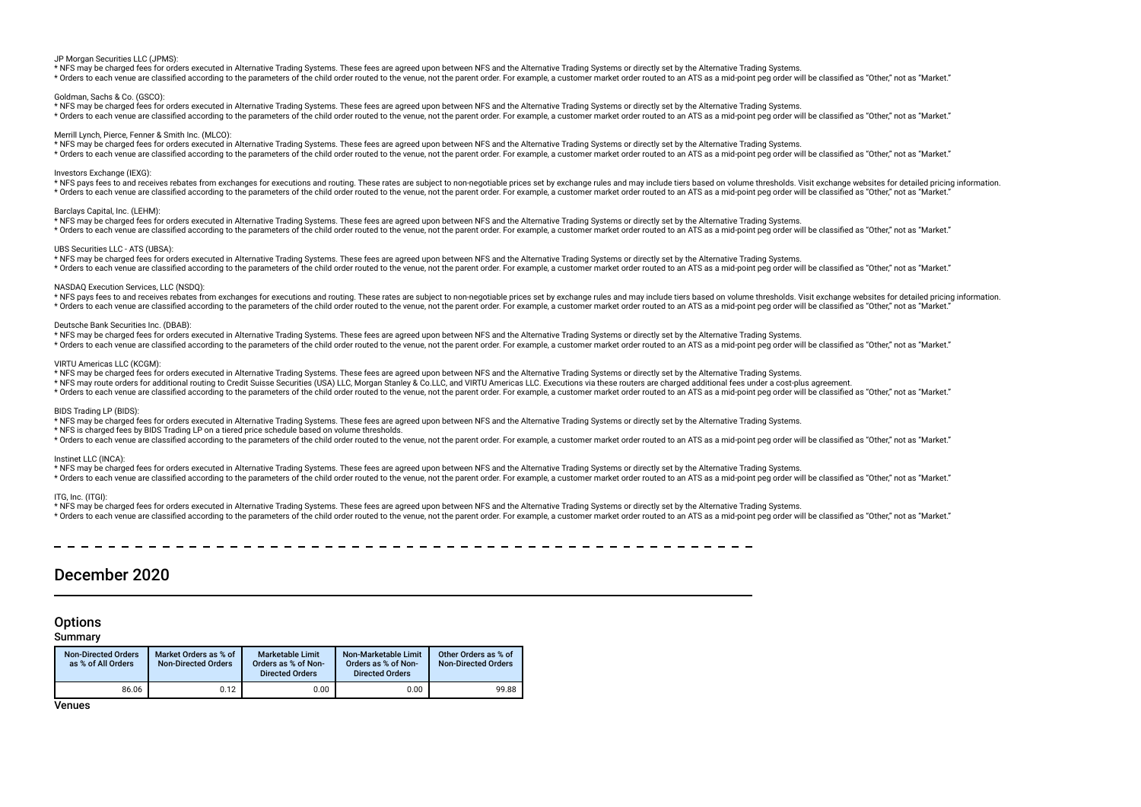#### JP Morgan Securities LLC (JPMS):

\* NFS may be charged fees for orders executed in Alternative Trading Systems. These fees are agreed upon between NFS and the Alternative Trading Systems or directly set by the Alternative Trading Systems.

\* Orders to each venue are classified according to the parameters of the child order routed to the venue, not the parent order. For example, a customer market order routed to an ATS as a mid-point peg order will be classif

### Goldman, Sachs & Co. (GSCO):

\* NFS may be charged fees for orders executed in Alternative Trading Systems. These fees are agreed upon between NFS and the Alternative Trading Systems or directly set by the Alternative Trading Systems. \* Orders to each venue are classified according to the parameters of the child order routed to the venue, not the parent order. For example, a customer market order routed to an ATS as a mid-point peg order will be classif

#### Merrill Lynch, Pierce, Fenner & Smith Inc. (MLCO):

\* NFS may be charged fees for orders executed in Alternative Trading Systems. These fees are agreed upon between NFS and the Alternative Trading Systems or directly set by the Alternative Trading Systems. \* Orders to each venue are classified according to the parameters of the child order routed to the venue, not the parent order. For example, a customer market order routed to an ATS as a mid-point peg order will be classif

#### Investors Exchange (IEXG)

\* NFS pays fees to and receives rebates from exchanges for executions and routing. These rates are subiect to non-negotiable prices set by exchange rules and may include tiers based on yolume thresholds. Visit exchange web \* Orders to each venue are classified according to the parameters of the child order routed to the venue, not the parent order. For example, a customer market order routed to an ATS as a mid-point peg order will be classif

#### Barclays Capital, Inc. (LEHM):

\* NFS may be charged fees for orders executed in Alternative Trading Systems. These fees are agreed upon between NFS and the Alternative Trading Systems or directly set by the Alternative Trading Systems. \* Orders to each venue are classified according to the parameters of the child order routed to the venue, not the parent order. For example, a customer market order routed to an ATS as a mid-point peg order will be classif

#### UBS Securities LLC - ATS (UBSA):

\* NFS may be charged fees for orders executed in Alternative Trading Systems. These fees are agreed upon between NFS and the Alternative Trading Systems or directly set by the Alternative Trading Systems. \* Orders to each venue are classified according to the parameters of the child order routed to the venue, not the parent order. For example, a customer market order routed to an ATS as a mid-point peq order will be classif

#### NASDAQ Execution Services, LLC (NSDQ):

\* NFS pays fees to and receives rebates from exchanges for executions and routing. These rates are subject to non-negotiable prices set by exchange rules and may include tiers based on yolume thresholds. Visit exchange web \* Orders to each venue are classified according to the parameters of the child order routed to the venue, not the parent order. For example, a customer market order routed to an ATS as a mid-point peq order will be classif

#### Deutsche Bank Securities Inc. (DBAB):

\* NFS may be charged fees for orders executed in Alternative Trading Systems. These fees are agreed upon between NFS and the Alternative Trading Systems or directly set by the Alternative Trading Systems.

\* Orders to each venue are classified according to the parameters of the child order routed to the venue, not the parent order. For example, a customer market order routed to an ATS as a mid-point peg order will be classif

#### VIRTU Americas LLC (KCGM):

\* NFS may be charged fees for orders executed in Alternative Trading Systems. These fees are agreed upon between NFS and the Alternative Trading Systems or directly set by the Alternative Trading Systems.

\* NFS may route orders for additional routing to Credit Suisse Securities (USA) LLC, Morgan Stanley & Co.LLC, and VIRTU Americas LLC. Executions via these routers are charged additional fees under a cost-plus agreement.

\* Orders to each venue are classified according to the parameters of the child order routed to the venue, not the parent order. For example, a customer market order routed to an ATS as a mid-point peq order will be classif

## BIDS Trading LP (BIDS):

\* NFS may be charged fees for orders executed in Alternative Trading Systems. These fees are agreed upon between NFS and the Alternative Trading Systems or directly set by the Alternative Trading Systems.

\* NFS is charged fees by BIDS Trading LP on a tiered price schedule based on volume thresholds.

\* Orders to each venue are classified according to the parameters of the child order routed to the venue, not the parent order. For example, a customer market order routed to an ATS as a mid-point peq order will be classif

#### Instinet LLC (INCA):

\* NFS may be charged fees for orders executed in Alternative Trading Systems. These fees are agreed upon between NFS and the Alternative Trading Systems or directly set by the Alternative Trading Systems.

\* Orders to each venue are classified according to the parameters of the child order routed to the venue, not the parent order. For example, a customer market order routed to an ATS as a mid-point peq order will be classif

### ITG, Inc. (ITGI):

\* NFS may be charged fees for orders executed in Alternative Trading Systems. These fees are agreed upon between NFS and the Alternative Trading Systems or directly set by the Alternative Trading Systems.

\* Orders to each venue are classified according to the parameters of the child order routed to the venue, not the parent order. For example, a customer market order routed to an ATS as a mid-point peq order will be classif

# December 2020

# **Options**

# Summary

| <b>Non-Directed Orders</b><br>as % of All Orders | Market Orders as % of<br><b>Non-Directed Orders</b> | <b>Marketable Limit</b><br>Orders as % of Non-<br><b>Directed Orders</b> | Non-Marketable Limit<br>Orders as % of Non-<br><b>Directed Orders</b> | Other Orders as % of<br><b>Non-Directed Orders</b> |
|--------------------------------------------------|-----------------------------------------------------|--------------------------------------------------------------------------|-----------------------------------------------------------------------|----------------------------------------------------|
| 86.06                                            | 0.12                                                | 0.00                                                                     | $0.00\,$                                                              | 99.88                                              |